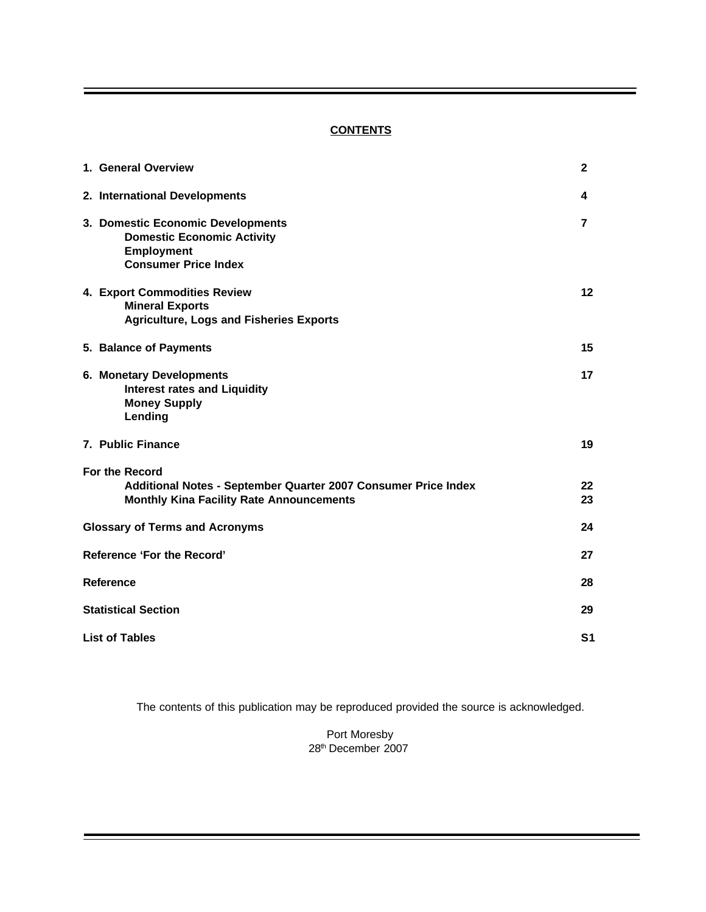# **CONTENTS**

| 1. General Overview                                                                                                                 | $\mathbf{2}$   |
|-------------------------------------------------------------------------------------------------------------------------------------|----------------|
| 2. International Developments                                                                                                       | 4              |
| 3. Domestic Economic Developments<br><b>Domestic Economic Activity</b><br><b>Employment</b><br><b>Consumer Price Index</b>          | 7              |
| 4. Export Commodities Review<br><b>Mineral Exports</b><br><b>Agriculture, Logs and Fisheries Exports</b>                            | 12             |
| 5. Balance of Payments                                                                                                              | 15             |
| 6. Monetary Developments<br><b>Interest rates and Liquidity</b><br><b>Money Supply</b><br>Lending                                   | 17             |
| 7. Public Finance                                                                                                                   | 19             |
| For the Record<br>Additional Notes - September Quarter 2007 Consumer Price Index<br><b>Monthly Kina Facility Rate Announcements</b> | 22<br>23       |
| <b>Glossary of Terms and Acronyms</b>                                                                                               | 24             |
| <b>Reference 'For the Record'</b>                                                                                                   | 27             |
| Reference                                                                                                                           | 28             |
| <b>Statistical Section</b>                                                                                                          | 29             |
| <b>List of Tables</b>                                                                                                               | S <sub>1</sub> |

The contents of this publication may be reproduced provided the source is acknowledged.

Port Moresby 28th December 2007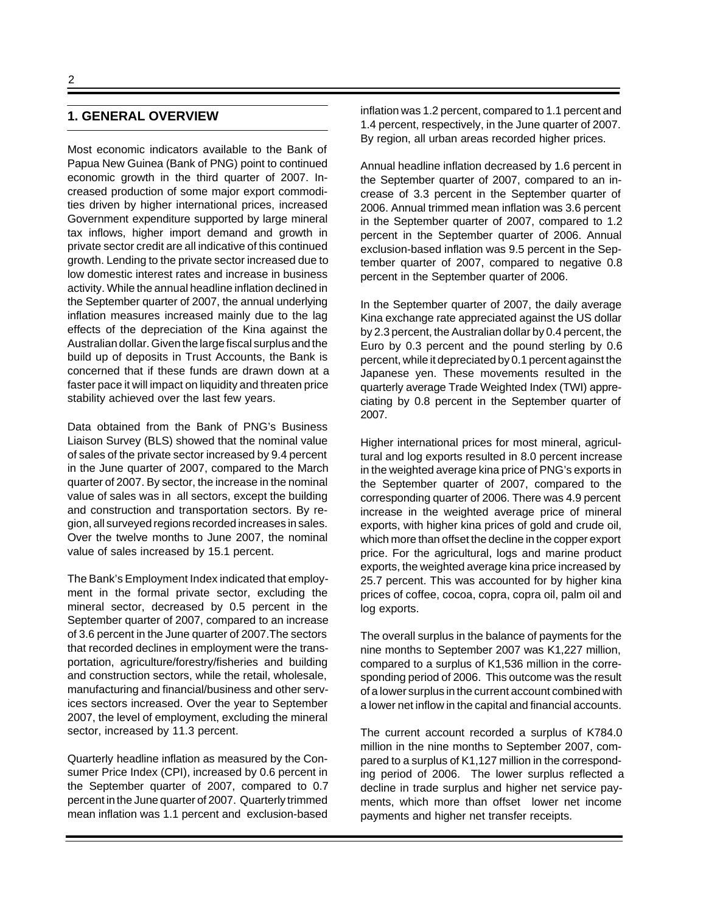# **1. GENERAL OVERVIEW**

Most economic indicators available to the Bank of Papua New Guinea (Bank of PNG) point to continued economic growth in the third quarter of 2007. Increased production of some major export commodities driven by higher international prices, increased Government expenditure supported by large mineral tax inflows, higher import demand and growth in private sector credit are all indicative of this continued growth. Lending to the private sector increased due to low domestic interest rates and increase in business activity. While the annual headline inflation declined in the September quarter of 2007, the annual underlying inflation measures increased mainly due to the lag effects of the depreciation of the Kina against the Australian dollar. Given the large fiscal surplus and the build up of deposits in Trust Accounts, the Bank is concerned that if these funds are drawn down at a faster pace it will impact on liquidity and threaten price stability achieved over the last few years.

Data obtained from the Bank of PNG's Business Liaison Survey (BLS) showed that the nominal value of sales of the private sector increased by 9.4 percent in the June quarter of 2007, compared to the March quarter of 2007. By sector, the increase in the nominal value of sales was in all sectors, except the building and construction and transportation sectors. By region, all surveyed regions recorded increases in sales. Over the twelve months to June 2007, the nominal value of sales increased by 15.1 percent.

The Bank's Employment Index indicated that employment in the formal private sector, excluding the mineral sector, decreased by 0.5 percent in the September quarter of 2007, compared to an increase of 3.6 percent in the June quarter of 2007.The sectors that recorded declines in employment were the transportation, agriculture/forestry/fisheries and building and construction sectors, while the retail, wholesale, manufacturing and financial/business and other services sectors increased. Over the year to September 2007, the level of employment, excluding the mineral sector, increased by 11.3 percent.

Quarterly headline inflation as measured by the Consumer Price Index (CPI), increased by 0.6 percent in the September quarter of 2007, compared to 0.7 percent in the June quarter of 2007. Quarterly trimmed mean inflation was 1.1 percent and exclusion-based inflation was 1.2 percent, compared to 1.1 percent and 1.4 percent, respectively, in the June quarter of 2007. By region, all urban areas recorded higher prices.

Annual headline inflation decreased by 1.6 percent in the September quarter of 2007, compared to an increase of 3.3 percent in the September quarter of 2006. Annual trimmed mean inflation was 3.6 percent in the September quarter of 2007, compared to 1.2 percent in the September quarter of 2006. Annual exclusion-based inflation was 9.5 percent in the September quarter of 2007, compared to negative 0.8 percent in the September quarter of 2006.

In the September quarter of 2007, the daily average Kina exchange rate appreciated against the US dollar by 2.3 percent, the Australian dollar by 0.4 percent, the Euro by 0.3 percent and the pound sterling by 0.6 percent, while it depreciated by 0.1 percent against the Japanese yen. These movements resulted in the quarterly average Trade Weighted Index (TWI) appreciating by 0.8 percent in the September quarter of 2007.

Higher international prices for most mineral, agricultural and log exports resulted in 8.0 percent increase in the weighted average kina price of PNG's exports in the September quarter of 2007, compared to the corresponding quarter of 2006. There was 4.9 percent increase in the weighted average price of mineral exports, with higher kina prices of gold and crude oil, which more than offset the decline in the copper export price. For the agricultural, logs and marine product exports, the weighted average kina price increased by 25.7 percent. This was accounted for by higher kina prices of coffee, cocoa, copra, copra oil, palm oil and log exports.

The overall surplus in the balance of payments for the nine months to September 2007 was K1,227 million, compared to a surplus of K1,536 million in the corresponding period of 2006. This outcome was the result of a lower surplus in the current account combined with a lower net inflow in the capital and financial accounts.

The current account recorded a surplus of K784.0 million in the nine months to September 2007, compared to a surplus of K1,127 million in the corresponding period of 2006. The lower surplus reflected a decline in trade surplus and higher net service payments, which more than offset lower net income payments and higher net transfer receipts.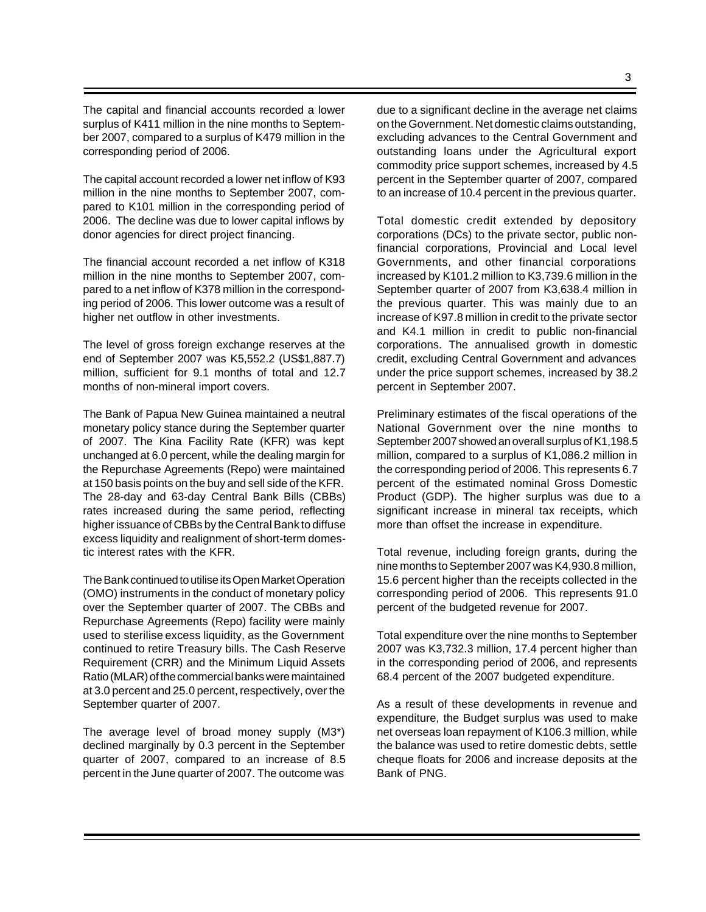The capital and financial accounts recorded a lower surplus of K411 million in the nine months to September 2007, compared to a surplus of K479 million in the corresponding period of 2006.

The capital account recorded a lower net inflow of K93 million in the nine months to September 2007, compared to K101 million in the corresponding period of 2006. The decline was due to lower capital inflows by donor agencies for direct project financing.

The financial account recorded a net inflow of K318 million in the nine months to September 2007, compared to a net inflow of K378 million in the corresponding period of 2006. This lower outcome was a result of higher net outflow in other investments.

The level of gross foreign exchange reserves at the end of September 2007 was K5,552.2 (US\$1,887.7) million, sufficient for 9.1 months of total and 12.7 months of non-mineral import covers.

The Bank of Papua New Guinea maintained a neutral monetary policy stance during the September quarter of 2007. The Kina Facility Rate (KFR) was kept unchanged at 6.0 percent, while the dealing margin for the Repurchase Agreements (Repo) were maintained at 150 basis points on the buy and sell side of the KFR. The 28-day and 63-day Central Bank Bills (CBBs) rates increased during the same period, reflecting higher issuance of CBBs by the Central Bank to diffuse excess liquidity and realignment of short-term domestic interest rates with the KFR.

The Bank continued to utilise its Open Market Operation (OMO) instruments in the conduct of monetary policy over the September quarter of 2007. The CBBs and Repurchase Agreements (Repo) facility were mainly used to sterilise excess liquidity, as the Government continued to retire Treasury bills. The Cash Reserve Requirement (CRR) and the Minimum Liquid Assets Ratio (MLAR) of the commercial banks were maintained at 3.0 percent and 25.0 percent, respectively, over the September quarter of 2007.

The average level of broad money supply (M3\*) declined marginally by 0.3 percent in the September quarter of 2007, compared to an increase of 8.5 percent in the June quarter of 2007. The outcome was

due to a significant decline in the average net claims on the Government. Net domestic claims outstanding, excluding advances to the Central Government and outstanding loans under the Agricultural export commodity price support schemes, increased by 4.5 percent in the September quarter of 2007, compared to an increase of 10.4 percent in the previous quarter.

Total domestic credit extended by depository corporations (DCs) to the private sector, public nonfinancial corporations, Provincial and Local level Governments, and other financial corporations increased by K101.2 million to K3,739.6 million in the September quarter of 2007 from K3,638.4 million in the previous quarter. This was mainly due to an increase of K97.8 million in credit to the private sector and K4.1 million in credit to public non-financial corporations. The annualised growth in domestic credit, excluding Central Government and advances under the price support schemes, increased by 38.2 percent in September 2007.

Preliminary estimates of the fiscal operations of the National Government over the nine months to September 2007 showed an overall surplus of K1,198.5 million, compared to a surplus of K1,086.2 million in the corresponding period of 2006. This represents 6.7 percent of the estimated nominal Gross Domestic Product (GDP). The higher surplus was due to a significant increase in mineral tax receipts, which more than offset the increase in expenditure.

Total revenue, including foreign grants, during the nine months to September 2007 was K4,930.8 million, 15.6 percent higher than the receipts collected in the corresponding period of 2006. This represents 91.0 percent of the budgeted revenue for 2007.

Total expenditure over the nine months to September 2007 was K3,732.3 million, 17.4 percent higher than in the corresponding period of 2006, and represents 68.4 percent of the 2007 budgeted expenditure.

As a result of these developments in revenue and expenditure, the Budget surplus was used to make net overseas loan repayment of K106.3 million, while the balance was used to retire domestic debts, settle cheque floats for 2006 and increase deposits at the Bank of PNG.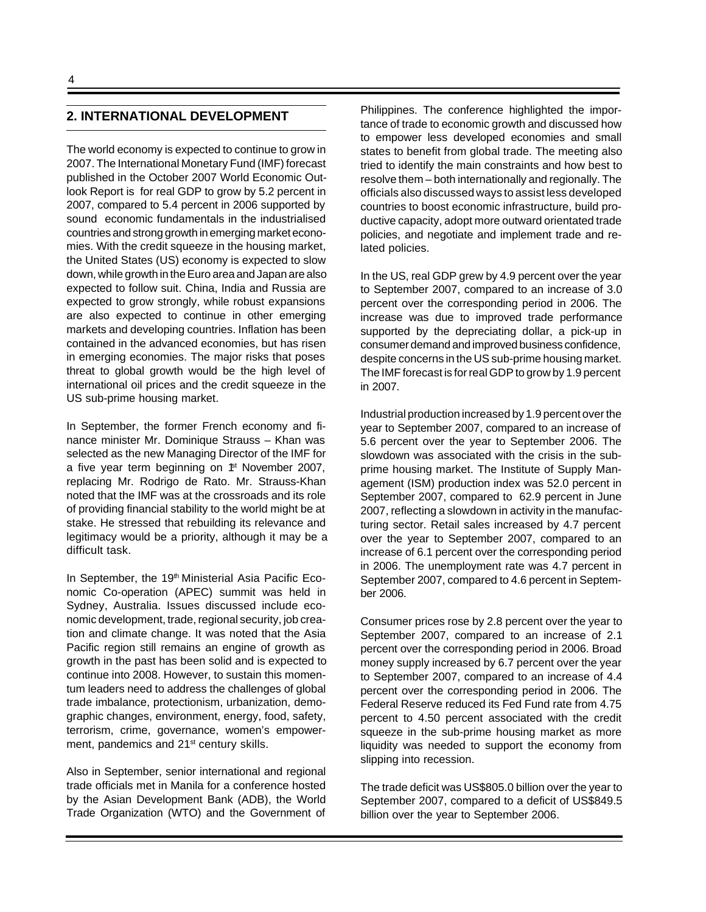# **2. INTERNATIONAL DEVELOPMENT**

The world economy is expected to continue to grow in 2007. The International Monetary Fund (IMF) forecast published in the October 2007 World Economic Outlook Report is for real GDP to grow by 5.2 percent in 2007, compared to 5.4 percent in 2006 supported by sound economic fundamentals in the industrialised countries and strong growth in emerging market economies. With the credit squeeze in the housing market, the United States (US) economy is expected to slow down, while growth in the Euro area and Japan are also expected to follow suit. China, India and Russia are expected to grow strongly, while robust expansions are also expected to continue in other emerging markets and developing countries. Inflation has been contained in the advanced economies, but has risen in emerging economies. The major risks that poses threat to global growth would be the high level of international oil prices and the credit squeeze in the US sub-prime housing market.

In September, the former French economy and finance minister Mr. Dominique Strauss – Khan was selected as the new Managing Director of the IMF for a five year term beginning on  $*$  November 2007, replacing Mr. Rodrigo de Rato. Mr. Strauss-Khan noted that the IMF was at the crossroads and its role of providing financial stability to the world might be at stake. He stressed that rebuilding its relevance and legitimacy would be a priority, although it may be a difficult task.

In September, the 19<sup>th</sup> Ministerial Asia Pacific Economic Co-operation (APEC) summit was held in Sydney, Australia. Issues discussed include economic development, trade, regional security, job creation and climate change. It was noted that the Asia Pacific region still remains an engine of growth as growth in the past has been solid and is expected to continue into 2008. However, to sustain this momentum leaders need to address the challenges of global trade imbalance, protectionism, urbanization, demographic changes, environment, energy, food, safety, terrorism, crime, governance, women's empowerment, pandemics and 21<sup>st</sup> century skills.

Also in September, senior international and regional trade officials met in Manila for a conference hosted by the Asian Development Bank (ADB), the World Trade Organization (WTO) and the Government of

Philippines. The conference highlighted the importance of trade to economic growth and discussed how to empower less developed economies and small states to benefit from global trade. The meeting also tried to identify the main constraints and how best to resolve them – both internationally and regionally. The officials also discussed ways to assist less developed countries to boost economic infrastructure, build productive capacity, adopt more outward orientated trade policies, and negotiate and implement trade and related policies.

In the US, real GDP grew by 4.9 percent over the year to September 2007, compared to an increase of 3.0 percent over the corresponding period in 2006. The increase was due to improved trade performance supported by the depreciating dollar, a pick-up in consumer demand and improved business confidence, despite concerns in the US sub-prime housing market. The IMF forecast is for real GDP to grow by 1.9 percent in 2007.

Industrial production increased by 1.9 percent over the year to September 2007, compared to an increase of 5.6 percent over the year to September 2006. The slowdown was associated with the crisis in the subprime housing market. The Institute of Supply Management (ISM) production index was 52.0 percent in September 2007, compared to 62.9 percent in June 2007, reflecting a slowdown in activity in the manufacturing sector. Retail sales increased by 4.7 percent over the year to September 2007, compared to an increase of 6.1 percent over the corresponding period in 2006. The unemployment rate was 4.7 percent in September 2007, compared to 4.6 percent in September 2006.

Consumer prices rose by 2.8 percent over the year to September 2007, compared to an increase of 2.1 percent over the corresponding period in 2006. Broad money supply increased by 6.7 percent over the year to September 2007, compared to an increase of 4.4 percent over the corresponding period in 2006. The Federal Reserve reduced its Fed Fund rate from 4.75 percent to 4.50 percent associated with the credit squeeze in the sub-prime housing market as more liquidity was needed to support the economy from slipping into recession.

The trade deficit was US\$805.0 billion over the year to September 2007, compared to a deficit of US\$849.5 billion over the year to September 2006.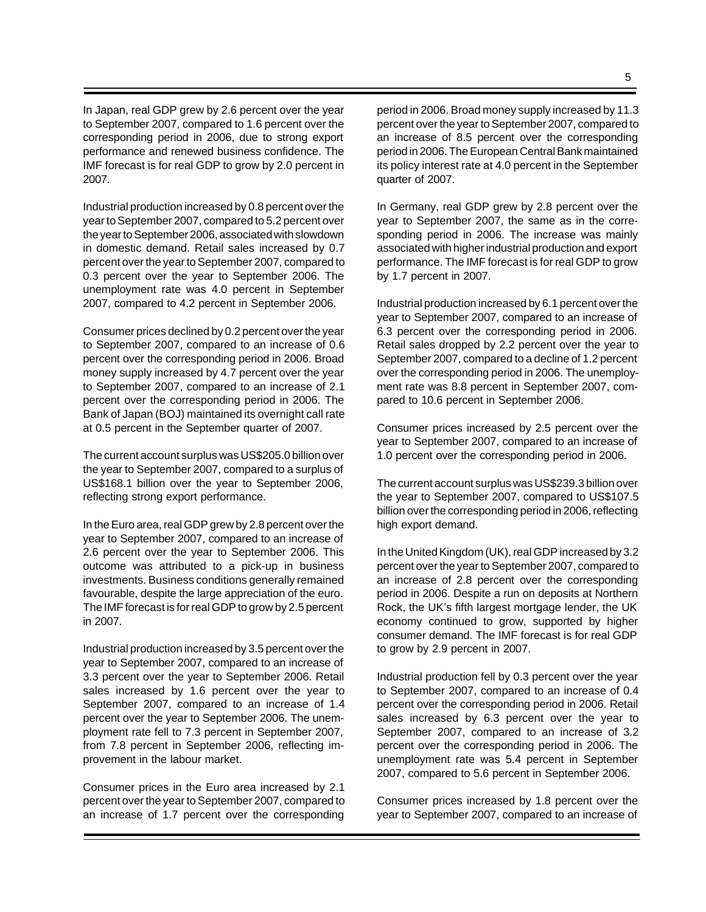In Japan, real GDP grew by 2.6 percent over the year to September 2007, compared to 1.6 percent over the corresponding period in 2006, due to strong export performance and renewed business confidence. The IMF forecast is for real GDP to grow by 2.0 percent in 2007.

Industrial production increased by 0.8 percent over the year to September 2007, compared to 5.2 percent over the year to September 2006, associated with slowdown in domestic demand. Retail sales increased by 0.7 percent over the year to September 2007, compared to 0.3 percent over the year to September 2006. The unemployment rate was 4.0 percent in September 2007, compared to 4.2 percent in September 2006.

Consumer prices declined by 0.2 percent over the year to September 2007, compared to an increase of 0.6 percent over the corresponding period in 2006. Broad money supply increased by 4.7 percent over the year to September 2007, compared to an increase of 2.1 percent over the corresponding period in 2006. The Bank of Japan (BOJ) maintained its overnight call rate at 0.5 percent in the September quarter of 2007.

The current account surplus was US\$205.0 billion over the year to September 2007, compared to a surplus of US\$168.1 billion over the year to September 2006, reflecting strong export performance.

In the Euro area, real GDP grew by 2.8 percent over the year to September 2007, compared to an increase of 2.6 percent over the year to September 2006. This outcome was attributed to a pick-up in business investments. Business conditions generally remained favourable, despite the large appreciation of the euro. The IMF forecast is for real GDP to grow by 2.5 percent in 2007.

Industrial production increased by 3.5 percent over the year to September 2007, compared to an increase of 3.3 percent over the year to September 2006. Retail sales increased by 1.6 percent over the year to September 2007, compared to an increase of 1.4 percent over the year to September 2006. The unemployment rate fell to 7.3 percent in September 2007, from 7.8 percent in September 2006, reflecting improvement in the labour market.

Consumer prices in the Euro area increased by 2.1 percent over the year to September 2007, compared to an increase of 1.7 percent over the corresponding period in 2006. Broad money supply increased by 11.3 percent over the year to September 2007, compared to an increase of 8.5 percent over the corresponding period in 2006. The European Central Bank maintained its policy interest rate at 4.0 percent in the September quarter of 2007.

In Germany, real GDP grew by 2.8 percent over the year to September 2007, the same as in the corresponding period in 2006. The increase was mainly associated with higher industrial production and export performance. The IMF forecast is for real GDP to grow by 1.7 percent in 2007.

Industrial production increased by 6.1 percent over the year to September 2007, compared to an increase of 6.3 percent over the corresponding period in 2006. Retail sales dropped by 2.2 percent over the year to September 2007, compared to a decline of 1.2 percent over the corresponding period in 2006. The unemployment rate was 8.8 percent in September 2007, compared to 10.6 percent in September 2006.

Consumer prices increased by 2.5 percent over the year to September 2007, compared to an increase of 1.0 percent over the corresponding period in 2006.

The current account surplus was US\$239.3 billion over the year to September 2007, compared to US\$107.5 billion over the corresponding period in 2006, reflecting high export demand.

In the United Kingdom (UK), real GDP increased by 3.2 percent over the year to September 2007, compared to an increase of 2.8 percent over the corresponding period in 2006. Despite a run on deposits at Northern Rock, the UK's fifth largest mortgage lender, the UK economy continued to grow, supported by higher consumer demand. The IMF forecast is for real GDP to grow by 2.9 percent in 2007.

Industrial production fell by 0.3 percent over the year to September 2007, compared to an increase of 0.4 percent over the corresponding period in 2006. Retail sales increased by 6.3 percent over the year to September 2007, compared to an increase of 3.2 percent over the corresponding period in 2006. The unemployment rate was 5.4 percent in September 2007, compared to 5.6 percent in September 2006.

Consumer prices increased by 1.8 percent over the year to September 2007, compared to an increase of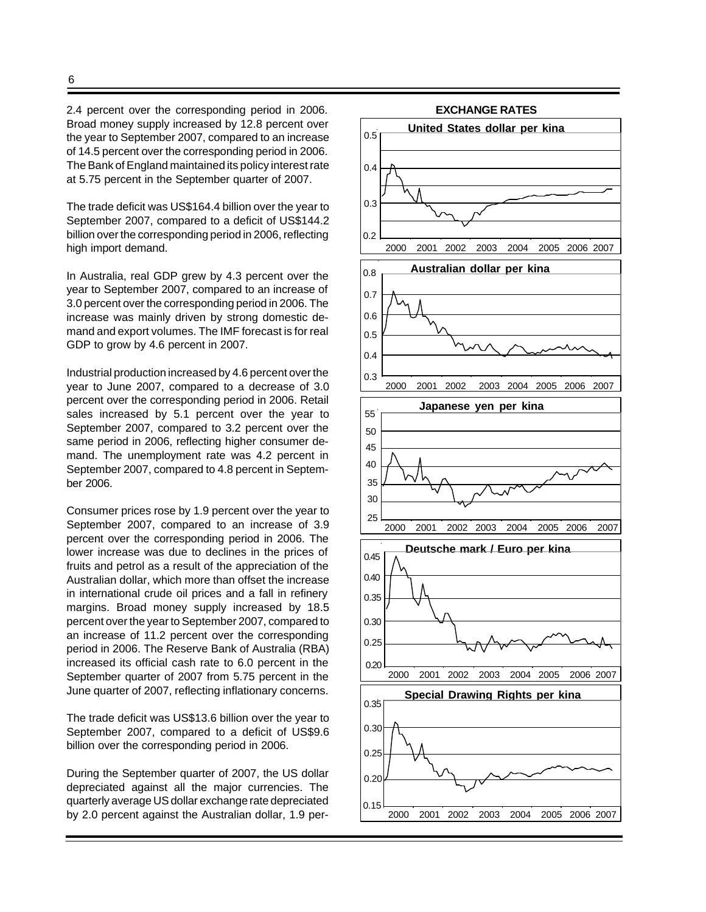2.4 percent over the corresponding period in 2006. Broad money supply increased by 12.8 percent over the year to September 2007, compared to an increase of 14.5 percent over the corresponding period in 2006. The Bank of England maintained its policy interest rate at 5.75 percent in the September quarter of 2007.

The trade deficit was US\$164.4 billion over the year to September 2007, compared to a deficit of US\$144.2 billion over the corresponding period in 2006, reflecting high import demand.

In Australia, real GDP grew by 4.3 percent over the year to September 2007, compared to an increase of 3.0 percent over the corresponding period in 2006. The increase was mainly driven by strong domestic demand and export volumes. The IMF forecast is for real GDP to grow by 4.6 percent in 2007.

Industrial production increased by 4.6 percent over the year to June 2007, compared to a decrease of 3.0 percent over the corresponding period in 2006. Retail sales increased by 5.1 percent over the year to September 2007, compared to 3.2 percent over the same period in 2006, reflecting higher consumer demand. The unemployment rate was 4.2 percent in September 2007, compared to 4.8 percent in September 2006.

Consumer prices rose by 1.9 percent over the year to September 2007, compared to an increase of 3.9 percent over the corresponding period in 2006. The lower increase was due to declines in the prices of fruits and petrol as a result of the appreciation of the Australian dollar, which more than offset the increase in international crude oil prices and a fall in refinery margins. Broad money supply increased by 18.5 percent over the year to September 2007, compared to an increase of 11.2 percent over the corresponding period in 2006. The Reserve Bank of Australia (RBA) increased its official cash rate to 6.0 percent in the September quarter of 2007 from 5.75 percent in the June quarter of 2007, reflecting inflationary concerns.

The trade deficit was US\$13.6 billion over the year to September 2007, compared to a deficit of US\$9.6 billion over the corresponding period in 2006.

During the September quarter of 2007, the US dollar depreciated against all the major currencies. The quarterly average US dollar exchange rate depreciated by 2.0 percent against the Australian dollar, 1.9 per-

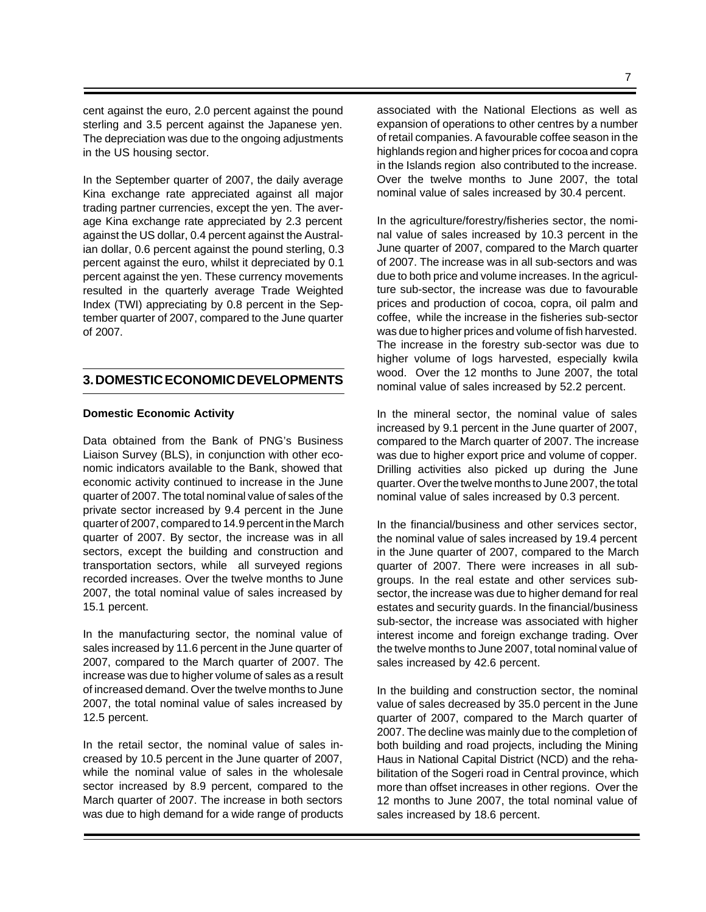cent against the euro, 2.0 percent against the pound sterling and 3.5 percent against the Japanese yen. The depreciation was due to the ongoing adjustments in the US housing sector.

In the September quarter of 2007, the daily average Kina exchange rate appreciated against all major trading partner currencies, except the yen. The average Kina exchange rate appreciated by 2.3 percent against the US dollar, 0.4 percent against the Australian dollar, 0.6 percent against the pound sterling, 0.3 percent against the euro, whilst it depreciated by 0.1 percent against the yen. These currency movements resulted in the quarterly average Trade Weighted Index (TWI) appreciating by 0.8 percent in the September quarter of 2007, compared to the June quarter of 2007.

# **3. DOMESTIC ECONOMIC DEVELOPMENTS**

#### **Domestic Economic Activity**

Data obtained from the Bank of PNG's Business Liaison Survey (BLS), in conjunction with other economic indicators available to the Bank, showed that economic activity continued to increase in the June quarter of 2007. The total nominal value of sales of the private sector increased by 9.4 percent in the June quarter of 2007, compared to 14.9 percent in the March quarter of 2007. By sector, the increase was in all sectors, except the building and construction and transportation sectors, while all surveyed regions recorded increases. Over the twelve months to June 2007, the total nominal value of sales increased by 15.1 percent.

In the manufacturing sector, the nominal value of sales increased by 11.6 percent in the June quarter of 2007, compared to the March quarter of 2007. The increase was due to higher volume of sales as a result of increased demand. Over the twelve months to June 2007, the total nominal value of sales increased by 12.5 percent.

In the retail sector, the nominal value of sales increased by 10.5 percent in the June quarter of 2007, while the nominal value of sales in the wholesale sector increased by 8.9 percent, compared to the March quarter of 2007. The increase in both sectors was due to high demand for a wide range of products associated with the National Elections as well as expansion of operations to other centres by a number of retail companies. A favourable coffee season in the highlands region and higher prices for cocoa and copra in the Islands region also contributed to the increase. Over the twelve months to June 2007, the total

nominal value of sales increased by 30.4 percent.

In the agriculture/forestry/fisheries sector, the nominal value of sales increased by 10.3 percent in the June quarter of 2007, compared to the March quarter of 2007. The increase was in all sub-sectors and was due to both price and volume increases. In the agriculture sub-sector, the increase was due to favourable prices and production of cocoa, copra, oil palm and coffee, while the increase in the fisheries sub-sector was due to higher prices and volume of fish harvested. The increase in the forestry sub-sector was due to higher volume of logs harvested, especially kwila wood. Over the 12 months to June 2007, the total nominal value of sales increased by 52.2 percent.

In the mineral sector, the nominal value of sales increased by 9.1 percent in the June quarter of 2007, compared to the March quarter of 2007. The increase was due to higher export price and volume of copper. Drilling activities also picked up during the June quarter. Over the twelve months to June 2007, the total nominal value of sales increased by 0.3 percent.

In the financial/business and other services sector, the nominal value of sales increased by 19.4 percent in the June quarter of 2007, compared to the March quarter of 2007. There were increases in all subgroups. In the real estate and other services subsector, the increase was due to higher demand for real estates and security guards. In the financial/business sub-sector, the increase was associated with higher interest income and foreign exchange trading. Over the twelve months to June 2007, total nominal value of sales increased by 42.6 percent.

In the building and construction sector, the nominal value of sales decreased by 35.0 percent in the June quarter of 2007, compared to the March quarter of 2007. The decline was mainly due to the completion of both building and road projects, including the Mining Haus in National Capital District (NCD) and the rehabilitation of the Sogeri road in Central province, which more than offset increases in other regions. Over the 12 months to June 2007, the total nominal value of sales increased by 18.6 percent.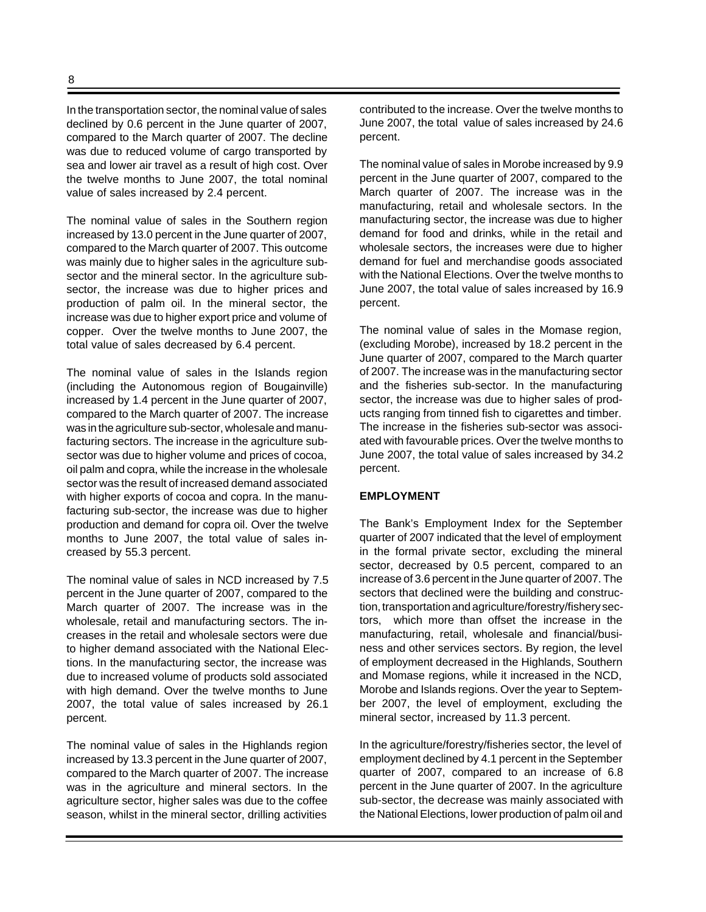In the transportation sector, the nominal value of sales declined by 0.6 percent in the June quarter of 2007, compared to the March quarter of 2007. The decline was due to reduced volume of cargo transported by sea and lower air travel as a result of high cost. Over the twelve months to June 2007, the total nominal value of sales increased by 2.4 percent.

The nominal value of sales in the Southern region increased by 13.0 percent in the June quarter of 2007, compared to the March quarter of 2007. This outcome was mainly due to higher sales in the agriculture subsector and the mineral sector. In the agriculture subsector, the increase was due to higher prices and production of palm oil. In the mineral sector, the increase was due to higher export price and volume of copper. Over the twelve months to June 2007, the total value of sales decreased by 6.4 percent.

The nominal value of sales in the Islands region (including the Autonomous region of Bougainville) increased by 1.4 percent in the June quarter of 2007, compared to the March quarter of 2007. The increase was in the agriculture sub-sector, wholesale and manufacturing sectors. The increase in the agriculture subsector was due to higher volume and prices of cocoa, oil palm and copra, while the increase in the wholesale sector was the result of increased demand associated with higher exports of cocoa and copra. In the manufacturing sub-sector, the increase was due to higher production and demand for copra oil. Over the twelve months to June 2007, the total value of sales increased by 55.3 percent.

The nominal value of sales in NCD increased by 7.5 percent in the June quarter of 2007, compared to the March quarter of 2007. The increase was in the wholesale, retail and manufacturing sectors. The increases in the retail and wholesale sectors were due to higher demand associated with the National Elections. In the manufacturing sector, the increase was due to increased volume of products sold associated with high demand. Over the twelve months to June 2007, the total value of sales increased by 26.1 percent.

The nominal value of sales in the Highlands region increased by 13.3 percent in the June quarter of 2007, compared to the March quarter of 2007. The increase was in the agriculture and mineral sectors. In the agriculture sector, higher sales was due to the coffee season, whilst in the mineral sector, drilling activities contributed to the increase. Over the twelve months to June 2007, the total value of sales increased by 24.6 percent.

The nominal value of sales in Morobe increased by 9.9 percent in the June quarter of 2007, compared to the March quarter of 2007. The increase was in the manufacturing, retail and wholesale sectors. In the manufacturing sector, the increase was due to higher demand for food and drinks, while in the retail and wholesale sectors, the increases were due to higher demand for fuel and merchandise goods associated with the National Elections. Over the twelve months to June 2007, the total value of sales increased by 16.9 percent.

The nominal value of sales in the Momase region, (excluding Morobe), increased by 18.2 percent in the June quarter of 2007, compared to the March quarter of 2007. The increase was in the manufacturing sector and the fisheries sub-sector. In the manufacturing sector, the increase was due to higher sales of products ranging from tinned fish to cigarettes and timber. The increase in the fisheries sub-sector was associated with favourable prices. Over the twelve months to June 2007, the total value of sales increased by 34.2 percent.

#### **EMPLOYMENT**

The Bank's Employment Index for the September quarter of 2007 indicated that the level of employment in the formal private sector, excluding the mineral sector, decreased by 0.5 percent, compared to an increase of 3.6 percent in the June quarter of 2007. The sectors that declined were the building and construction, transportation and agriculture/forestry/fishery sectors, which more than offset the increase in the manufacturing, retail, wholesale and financial/business and other services sectors. By region, the level of employment decreased in the Highlands, Southern and Momase regions, while it increased in the NCD, Morobe and Islands regions. Over the year to September 2007, the level of employment, excluding the mineral sector, increased by 11.3 percent.

In the agriculture/forestry/fisheries sector, the level of employment declined by 4.1 percent in the September quarter of 2007, compared to an increase of 6.8 percent in the June quarter of 2007. In the agriculture sub-sector, the decrease was mainly associated with the National Elections, lower production of palm oil and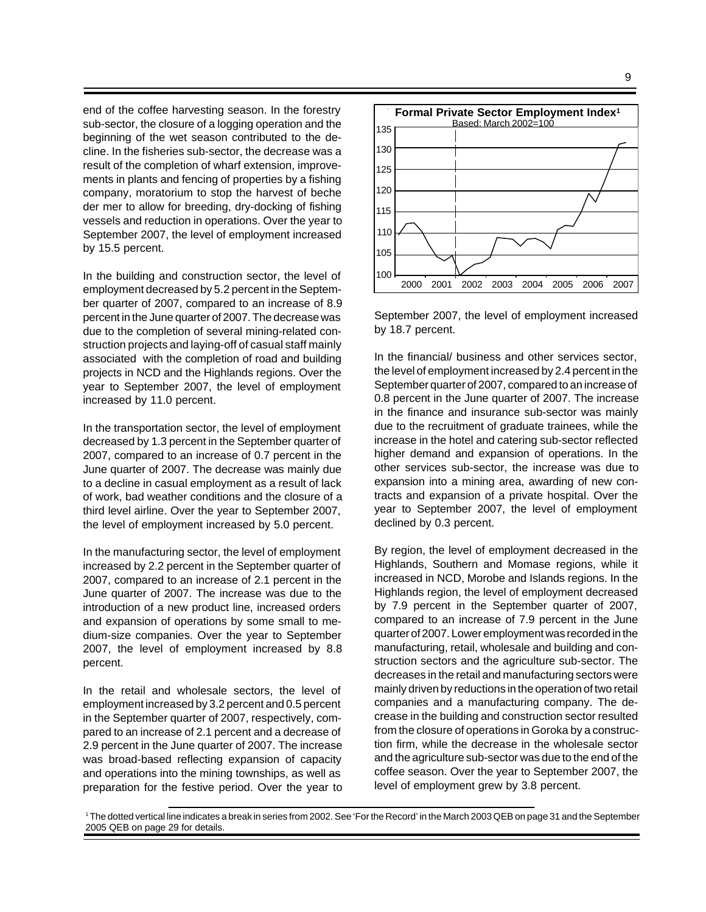9

end of the coffee harvesting season. In the forestry sub-sector, the closure of a logging operation and the beginning of the wet season contributed to the decline. In the fisheries sub-sector, the decrease was a result of the completion of wharf extension, improvements in plants and fencing of properties by a fishing company, moratorium to stop the harvest of beche der mer to allow for breeding, dry-docking of fishing vessels and reduction in operations. Over the year to September 2007, the level of employment increased by 15.5 percent.

In the building and construction sector, the level of employment decreased by 5.2 percent in the September quarter of 2007, compared to an increase of 8.9 percent in the June quarter of 2007. The decrease was due to the completion of several mining-related construction projects and laying-off of casual staff mainly associated with the completion of road and building projects in NCD and the Highlands regions. Over the year to September 2007, the level of employment increased by 11.0 percent.

In the transportation sector, the level of employment decreased by 1.3 percent in the September quarter of 2007, compared to an increase of 0.7 percent in the June quarter of 2007. The decrease was mainly due to a decline in casual employment as a result of lack of work, bad weather conditions and the closure of a third level airline. Over the year to September 2007, the level of employment increased by 5.0 percent.

In the manufacturing sector, the level of employment increased by 2.2 percent in the September quarter of 2007, compared to an increase of 2.1 percent in the June quarter of 2007. The increase was due to the introduction of a new product line, increased orders and expansion of operations by some small to medium-size companies. Over the year to September 2007, the level of employment increased by 8.8 percent.

In the retail and wholesale sectors, the level of employment increased by 3.2 percent and 0.5 percent in the September quarter of 2007, respectively, compared to an increase of 2.1 percent and a decrease of 2.9 percent in the June quarter of 2007. The increase was broad-based reflecting expansion of capacity and operations into the mining townships, as well as preparation for the festive period. Over the year to



September 2007, the level of employment increased by 18.7 percent.

In the financial/ business and other services sector, the level of employment increased by 2.4 percent in the September quarter of 2007, compared to an increase of 0.8 percent in the June quarter of 2007. The increase in the finance and insurance sub-sector was mainly due to the recruitment of graduate trainees, while the increase in the hotel and catering sub-sector reflected higher demand and expansion of operations. In the other services sub-sector, the increase was due to expansion into a mining area, awarding of new contracts and expansion of a private hospital. Over the year to September 2007, the level of employment declined by 0.3 percent.

By region, the level of employment decreased in the Highlands, Southern and Momase regions, while it increased in NCD, Morobe and Islands regions. In the Highlands region, the level of employment decreased by 7.9 percent in the September quarter of 2007, compared to an increase of 7.9 percent in the June quarter of 2007. Lower employment was recorded in the manufacturing, retail, wholesale and building and construction sectors and the agriculture sub-sector. The decreases in the retail and manufacturing sectors were mainly driven by reductions in the operation of two retail companies and a manufacturing company. The decrease in the building and construction sector resulted from the closure of operations in Goroka by a construction firm, while the decrease in the wholesale sector and the agriculture sub-sector was due to the end of the coffee season. Over the year to September 2007, the level of employment grew by 3.8 percent.

<sup>1</sup> The dotted vertical line indicates a break in series from 2002. See 'For the Record' in the March 2003 QEB on page 31 and the September 2005 QEB on page 29 for details.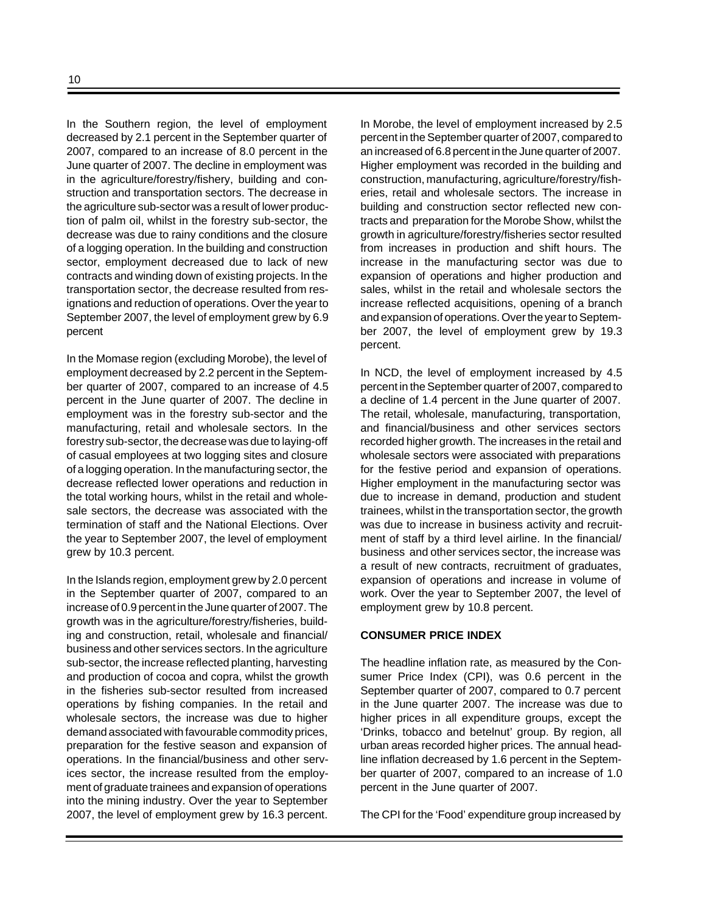In the Southern region, the level of employment decreased by 2.1 percent in the September quarter of 2007, compared to an increase of 8.0 percent in the June quarter of 2007. The decline in employment was in the agriculture/forestry/fishery, building and construction and transportation sectors. The decrease in the agriculture sub-sector was a result of lower production of palm oil, whilst in the forestry sub-sector, the decrease was due to rainy conditions and the closure of a logging operation. In the building and construction sector, employment decreased due to lack of new contracts and winding down of existing projects. In the transportation sector, the decrease resulted from resignations and reduction of operations. Over the year to September 2007, the level of employment grew by 6.9 percent

In the Momase region (excluding Morobe), the level of employment decreased by 2.2 percent in the September quarter of 2007, compared to an increase of 4.5 percent in the June quarter of 2007. The decline in employment was in the forestry sub-sector and the manufacturing, retail and wholesale sectors. In the forestry sub-sector, the decrease was due to laying-off of casual employees at two logging sites and closure of a logging operation. In the manufacturing sector, the decrease reflected lower operations and reduction in the total working hours, whilst in the retail and wholesale sectors, the decrease was associated with the termination of staff and the National Elections. Over the year to September 2007, the level of employment grew by 10.3 percent.

In the Islands region, employment grew by 2.0 percent in the September quarter of 2007, compared to an increase of 0.9 percent in the June quarter of 2007. The growth was in the agriculture/forestry/fisheries, building and construction, retail, wholesale and financial/ business and other services sectors. In the agriculture sub-sector, the increase reflected planting, harvesting and production of cocoa and copra, whilst the growth in the fisheries sub-sector resulted from increased operations by fishing companies. In the retail and wholesale sectors, the increase was due to higher demand associated with favourable commodity prices, preparation for the festive season and expansion of operations. In the financial/business and other services sector, the increase resulted from the employment of graduate trainees and expansion of operations into the mining industry. Over the year to September 2007, the level of employment grew by 16.3 percent. In Morobe, the level of employment increased by 2.5 percent in the September quarter of 2007, compared to an increased of 6.8 percent in the June quarter of 2007. Higher employment was recorded in the building and construction, manufacturing, agriculture/forestry/fisheries, retail and wholesale sectors. The increase in building and construction sector reflected new contracts and preparation for the Morobe Show, whilst the growth in agriculture/forestry/fisheries sector resulted from increases in production and shift hours. The increase in the manufacturing sector was due to expansion of operations and higher production and sales, whilst in the retail and wholesale sectors the increase reflected acquisitions, opening of a branch and expansion of operations. Over the year to September 2007, the level of employment grew by 19.3 percent.

In NCD, the level of employment increased by 4.5 percent in the September quarter of 2007, compared to a decline of 1.4 percent in the June quarter of 2007. The retail, wholesale, manufacturing, transportation, and financial/business and other services sectors recorded higher growth. The increases in the retail and wholesale sectors were associated with preparations for the festive period and expansion of operations. Higher employment in the manufacturing sector was due to increase in demand, production and student trainees, whilst in the transportation sector, the growth was due to increase in business activity and recruitment of staff by a third level airline. In the financial/ business and other services sector, the increase was a result of new contracts, recruitment of graduates, expansion of operations and increase in volume of work. Over the year to September 2007, the level of employment grew by 10.8 percent.

#### **CONSUMER PRICE INDEX**

The headline inflation rate, as measured by the Consumer Price Index (CPI), was 0.6 percent in the September quarter of 2007, compared to 0.7 percent in the June quarter 2007. The increase was due to higher prices in all expenditure groups, except the 'Drinks, tobacco and betelnut' group. By region, all urban areas recorded higher prices. The annual headline inflation decreased by 1.6 percent in the September quarter of 2007, compared to an increase of 1.0 percent in the June quarter of 2007.

The CPI for the 'Food' expenditure group increased by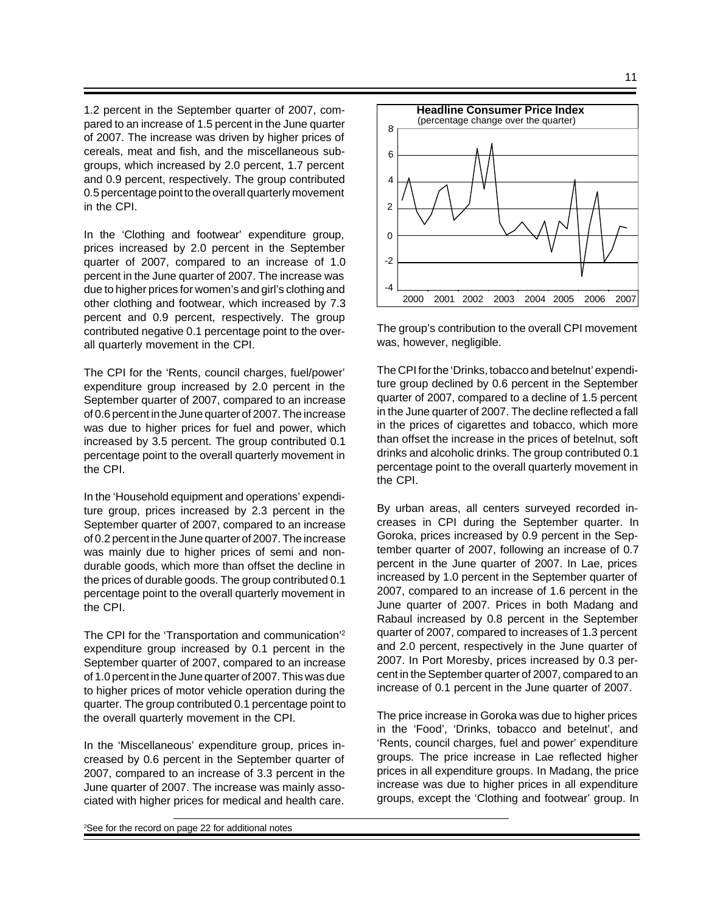1.2 percent in the September quarter of 2007, compared to an increase of 1.5 percent in the June quarter of 2007. The increase was driven by higher prices of cereals, meat and fish, and the miscellaneous subgroups, which increased by 2.0 percent, 1.7 percent and 0.9 percent, respectively. The group contributed 0.5 percentage point to the overall quarterly movement in the CPI.

In the 'Clothing and footwear' expenditure group, prices increased by 2.0 percent in the September quarter of 2007, compared to an increase of 1.0 percent in the June quarter of 2007. The increase was due to higher prices for women's and girl's clothing and other clothing and footwear, which increased by 7.3 percent and 0.9 percent, respectively. The group contributed negative 0.1 percentage point to the overall quarterly movement in the CPI.

The CPI for the 'Rents, council charges, fuel/power' expenditure group increased by 2.0 percent in the September quarter of 2007, compared to an increase of 0.6 percent in the June quarter of 2007. The increase was due to higher prices for fuel and power, which increased by 3.5 percent. The group contributed 0.1 percentage point to the overall quarterly movement in the CPI.

In the 'Household equipment and operations' expenditure group, prices increased by 2.3 percent in the September quarter of 2007, compared to an increase of 0.2 percent in the June quarter of 2007. The increase was mainly due to higher prices of semi and nondurable goods, which more than offset the decline in the prices of durable goods. The group contributed 0.1 percentage point to the overall quarterly movement in the CPI.

The CPI for the 'Transportation and communication'<sup>2</sup> expenditure group increased by 0.1 percent in the September quarter of 2007, compared to an increase of 1.0 percent in the June quarter of 2007. This was due to higher prices of motor vehicle operation during the quarter. The group contributed 0.1 percentage point to the overall quarterly movement in the CPI.

In the 'Miscellaneous' expenditure group, prices increased by 0.6 percent in the September quarter of 2007, compared to an increase of 3.3 percent in the June quarter of 2007. The increase was mainly associated with higher prices for medical and health care.



The group's contribution to the overall CPI movement was, however, negligible.

The CPI for the 'Drinks, tobacco and betelnut' expenditure group declined by 0.6 percent in the September quarter of 2007, compared to a decline of 1.5 percent in the June quarter of 2007. The decline reflected a fall in the prices of cigarettes and tobacco, which more than offset the increase in the prices of betelnut, soft drinks and alcoholic drinks. The group contributed 0.1 percentage point to the overall quarterly movement in the CPI.

By urban areas, all centers surveyed recorded increases in CPI during the September quarter. In Goroka, prices increased by 0.9 percent in the September quarter of 2007, following an increase of 0.7 percent in the June quarter of 2007. In Lae, prices increased by 1.0 percent in the September quarter of 2007, compared to an increase of 1.6 percent in the June quarter of 2007. Prices in both Madang and Rabaul increased by 0.8 percent in the September quarter of 2007, compared to increases of 1.3 percent and 2.0 percent, respectively in the June quarter of 2007. In Port Moresby, prices increased by 0.3 percent in the September quarter of 2007, compared to an increase of 0.1 percent in the June quarter of 2007.

The price increase in Goroka was due to higher prices in the 'Food', 'Drinks, tobacco and betelnut', and 'Rents, council charges, fuel and power' expenditure groups. The price increase in Lae reflected higher prices in all expenditure groups*.* In Madang, the price increase was due to higher prices in all expenditure groups, except the 'Clothing and footwear' group. In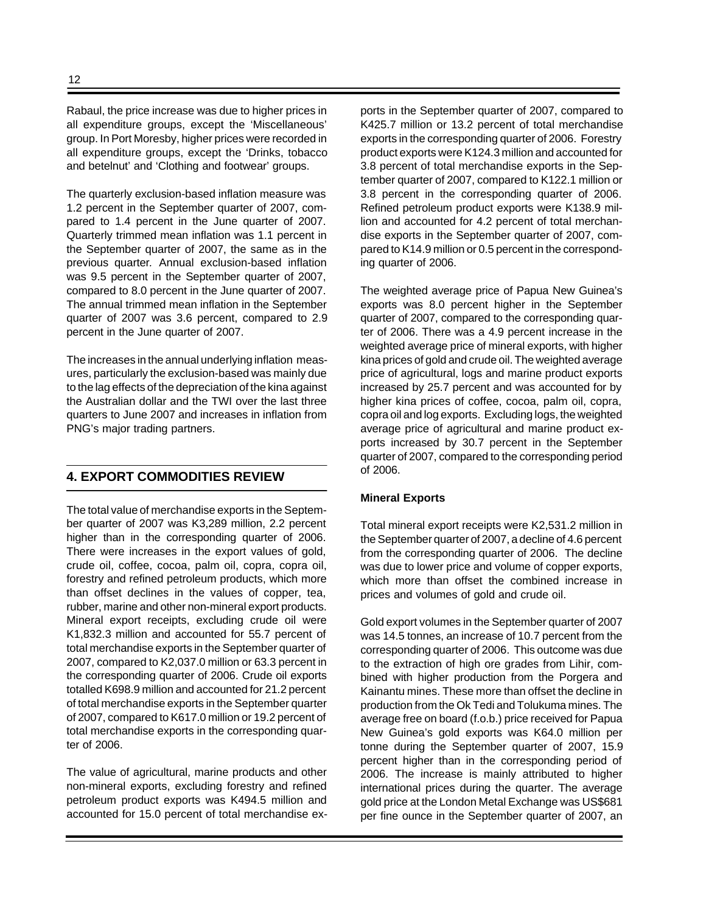Rabaul, the price increase was due to higher prices in all expenditure groups, except the 'Miscellaneous' group. In Port Moresby, higher prices were recorded in all expenditure groups, except the 'Drinks, tobacco and betelnut' and 'Clothing and footwear' groups.

The quarterly exclusion-based inflation measure was 1.2 percent in the September quarter of 2007, compared to 1.4 percent in the June quarter of 2007. Quarterly trimmed mean inflation was 1.1 percent in the September quarter of 2007, the same as in the previous quarter*.* Annual exclusion-based inflation was 9.5 percent in the September quarter of 2007, compared to 8.0 percent in the June quarter of 2007. The annual trimmed mean inflation in the September quarter of 2007 was 3.6 percent, compared to 2.9 percent in the June quarter of 2007.

The increases in the annual underlying inflation measures, particularly the exclusion-based was mainly due to the lag effects of the depreciation of the kina against the Australian dollar and the TWI over the last three quarters to June 2007 and increases in inflation from PNG's major trading partners.

# **4. EXPORT COMMODITIES REVIEW**

The total value of merchandise exports in the September quarter of 2007 was K3,289 million, 2.2 percent higher than in the corresponding quarter of 2006. There were increases in the export values of gold, crude oil, coffee, cocoa, palm oil, copra, copra oil, forestry and refined petroleum products, which more than offset declines in the values of copper, tea, rubber, marine and other non-mineral export products. Mineral export receipts, excluding crude oil were K1,832.3 million and accounted for 55.7 percent of total merchandise exports in the September quarter of 2007, compared to K2,037.0 million or 63.3 percent in the corresponding quarter of 2006. Crude oil exports totalled K698.9 million and accounted for 21.2 percent of total merchandise exports in the September quarter of 2007, compared to K617.0 million or 19.2 percent of total merchandise exports in the corresponding quarter of 2006.

The value of agricultural, marine products and other non-mineral exports, excluding forestry and refined petroleum product exports was K494.5 million and accounted for 15.0 percent of total merchandise exports in the September quarter of 2007, compared to K425.7 million or 13.2 percent of total merchandise exports in the corresponding quarter of 2006. Forestry product exports were K124.3 million and accounted for 3.8 percent of total merchandise exports in the September quarter of 2007, compared to K122.1 million or 3.8 percent in the corresponding quarter of 2006. Refined petroleum product exports were K138.9 million and accounted for 4.2 percent of total merchandise exports in the September quarter of 2007, compared to K14.9 million or 0.5 percent in the corresponding quarter of 2006.

The weighted average price of Papua New Guinea's exports was 8.0 percent higher in the September quarter of 2007, compared to the corresponding quarter of 2006. There was a 4.9 percent increase in the weighted average price of mineral exports, with higher kina prices of gold and crude oil. The weighted average price of agricultural, logs and marine product exports increased by 25.7 percent and was accounted for by higher kina prices of coffee, cocoa, palm oil, copra, copra oil and log exports. Excluding logs, the weighted average price of agricultural and marine product exports increased by 30.7 percent in the September quarter of 2007, compared to the corresponding period of 2006.

#### **Mineral Exports**

Total mineral export receipts were K2,531.2 million in the September quarter of 2007, a decline of 4.6 percent from the corresponding quarter of 2006. The decline was due to lower price and volume of copper exports, which more than offset the combined increase in prices and volumes of gold and crude oil.

Gold export volumes in the September quarter of 2007 was 14.5 tonnes, an increase of 10.7 percent from the corresponding quarter of 2006. This outcome was due to the extraction of high ore grades from Lihir, combined with higher production from the Porgera and Kainantu mines. These more than offset the decline in production from the Ok Tedi and Tolukuma mines. The average free on board (f.o.b.) price received for Papua New Guinea's gold exports was K64.0 million per tonne during the September quarter of 2007, 15.9 percent higher than in the corresponding period of 2006. The increase is mainly attributed to higher international prices during the quarter. The average gold price at the London Metal Exchange was US\$681 per fine ounce in the September quarter of 2007, an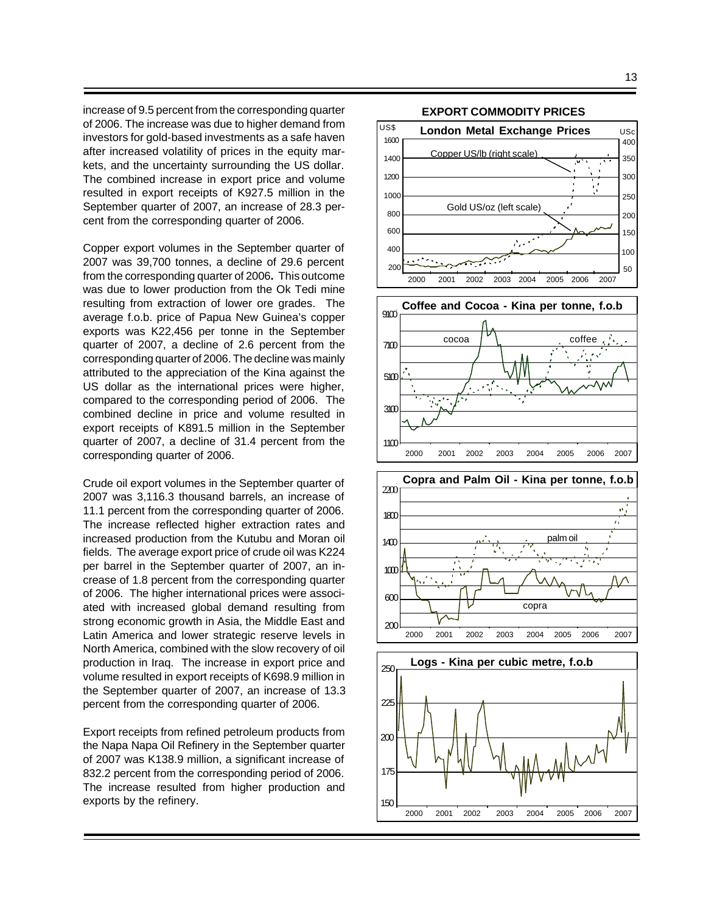increase of 9.5 percent from the corresponding quarter of 2006. The increase was due to higher demand from investors for gold-based investments as a safe haven after increased volatility of prices in the equity markets, and the uncertainty surrounding the US dollar. The combined increase in export price and volume resulted in export receipts of K927.5 million in the September quarter of 2007, an increase of 28.3 percent from the corresponding quarter of 2006.

Copper export volumes in the September quarter of 2007 was 39,700 tonnes, a decline of 29.6 percent from the corresponding quarter of 2006**.** This outcome was due to lower production from the Ok Tedi mine resulting from extraction of lower ore grades. The average f.o.b. price of Papua New Guinea's copper exports was K22,456 per tonne in the September quarter of 2007, a decline of 2.6 percent from the corresponding quarter of 2006. The decline was mainly attributed to the appreciation of the Kina against the US dollar as the international prices were higher, compared to the corresponding period of 2006. The combined decline in price and volume resulted in export receipts of K891.5 million in the September quarter of 2007, a decline of 31.4 percent from the corresponding quarter of 2006.

Crude oil export volumes in the September quarter of 2007 was 3,116.3 thousand barrels, an increase of 11.1 percent from the corresponding quarter of 2006. The increase reflected higher extraction rates and increased production from the Kutubu and Moran oil fields. The average export price of crude oil was K224 per barrel in the September quarter of 2007, an increase of 1.8 percent from the corresponding quarter of 2006. The higher international prices were associated with increased global demand resulting from strong economic growth in Asia, the Middle East and Latin America and lower strategic reserve levels in North America, combined with the slow recovery of oil production in Iraq. The increase in export price and volume resulted in export receipts of K698.9 million in the September quarter of 2007, an increase of 13.3 percent from the corresponding quarter of 2006.

Export receipts from refined petroleum products from the Napa Napa Oil Refinery in the September quarter of 2007 was K138.9 million, a significant increase of 832.2 percent from the corresponding period of 2006. The increase resulted from higher production and exports by the refinery.

 $200$ 

150

175



2000 2001 2002 2003 2004 2005 2006 2007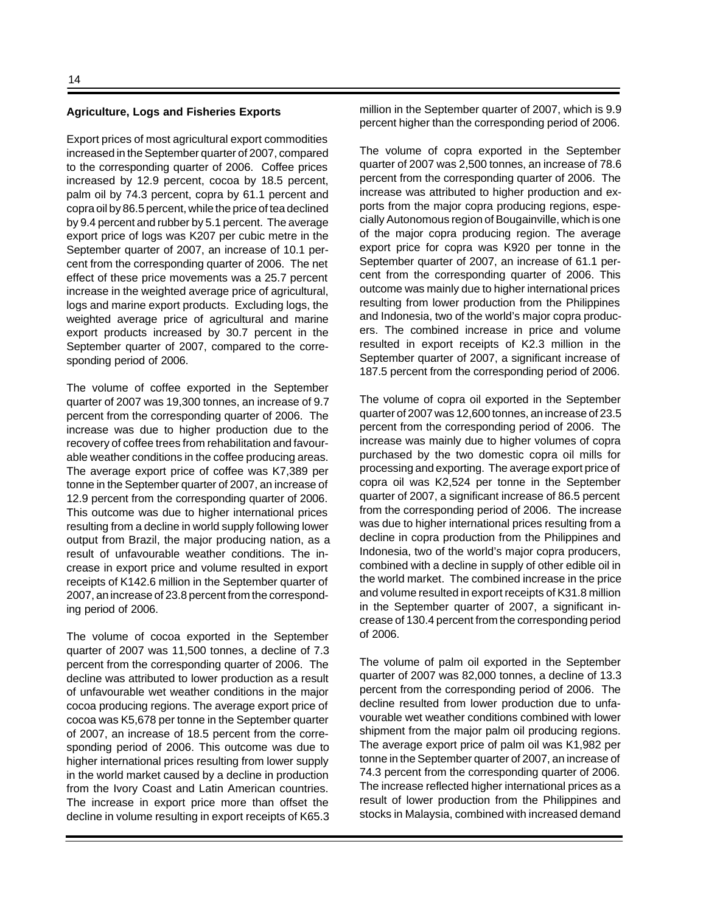#### **Agriculture, Logs and Fisheries Exports**

Export prices of most agricultural export commodities increased in the September quarter of 2007, compared to the corresponding quarter of 2006. Coffee prices increased by 12.9 percent, cocoa by 18.5 percent, palm oil by 74.3 percent, copra by 61.1 percent and copra oil by 86.5 percent, while the price of tea declined by 9.4 percent and rubber by 5.1 percent. The average export price of logs was K207 per cubic metre in the September quarter of 2007, an increase of 10.1 percent from the corresponding quarter of 2006. The net effect of these price movements was a 25.7 percent increase in the weighted average price of agricultural, logs and marine export products. Excluding logs, the weighted average price of agricultural and marine export products increased by 30.7 percent in the September quarter of 2007, compared to the corresponding period of 2006.

The volume of coffee exported in the September quarter of 2007 was 19,300 tonnes, an increase of 9.7 percent from the corresponding quarter of 2006. The increase was due to higher production due to the recovery of coffee trees from rehabilitation and favourable weather conditions in the coffee producing areas. The average export price of coffee was K7,389 per tonne in the September quarter of 2007, an increase of 12.9 percent from the corresponding quarter of 2006. This outcome was due to higher international prices resulting from a decline in world supply following lower output from Brazil, the major producing nation, as a result of unfavourable weather conditions. The increase in export price and volume resulted in export receipts of K142.6 million in the September quarter of 2007, an increase of 23.8 percent from the corresponding period of 2006.

The volume of cocoa exported in the September quarter of 2007 was 11,500 tonnes, a decline of 7.3 percent from the corresponding quarter of 2006. The decline was attributed to lower production as a result of unfavourable wet weather conditions in the major cocoa producing regions. The average export price of cocoa was K5,678 per tonne in the September quarter of 2007, an increase of 18.5 percent from the corresponding period of 2006. This outcome was due to higher international prices resulting from lower supply in the world market caused by a decline in production from the Ivory Coast and Latin American countries. The increase in export price more than offset the decline in volume resulting in export receipts of K65.3 million in the September quarter of 2007, which is 9.9 percent higher than the corresponding period of 2006.

The volume of copra exported in the September quarter of 2007 was 2,500 tonnes, an increase of 78.6 percent from the corresponding quarter of 2006. The increase was attributed to higher production and exports from the major copra producing regions, especially Autonomous region of Bougainville, which is one of the major copra producing region. The average export price for copra was K920 per tonne in the September quarter of 2007, an increase of 61.1 percent from the corresponding quarter of 2006. This outcome was mainly due to higher international prices resulting from lower production from the Philippines and Indonesia, two of the world's major copra producers. The combined increase in price and volume resulted in export receipts of K2.3 million in the September quarter of 2007, a significant increase of 187.5 percent from the corresponding period of 2006.

The volume of copra oil exported in the September quarter of 2007 was 12,600 tonnes, an increase of 23.5 percent from the corresponding period of 2006. The increase was mainly due to higher volumes of copra purchased by the two domestic copra oil mills for processing and exporting. The average export price of copra oil was K2,524 per tonne in the September quarter of 2007, a significant increase of 86.5 percent from the corresponding period of 2006. The increase was due to higher international prices resulting from a decline in copra production from the Philippines and Indonesia, two of the world's major copra producers, combined with a decline in supply of other edible oil in the world market. The combined increase in the price and volume resulted in export receipts of K31.8 million in the September quarter of 2007, a significant increase of 130.4 percent from the corresponding period of 2006.

The volume of palm oil exported in the September quarter of 2007 was 82,000 tonnes, a decline of 13.3 percent from the corresponding period of 2006. The decline resulted from lower production due to unfavourable wet weather conditions combined with lower shipment from the major palm oil producing regions. The average export price of palm oil was K1,982 per tonne in the September quarter of 2007, an increase of 74.3 percent from the corresponding quarter of 2006. The increase reflected higher international prices as a result of lower production from the Philippines and stocks in Malaysia, combined with increased demand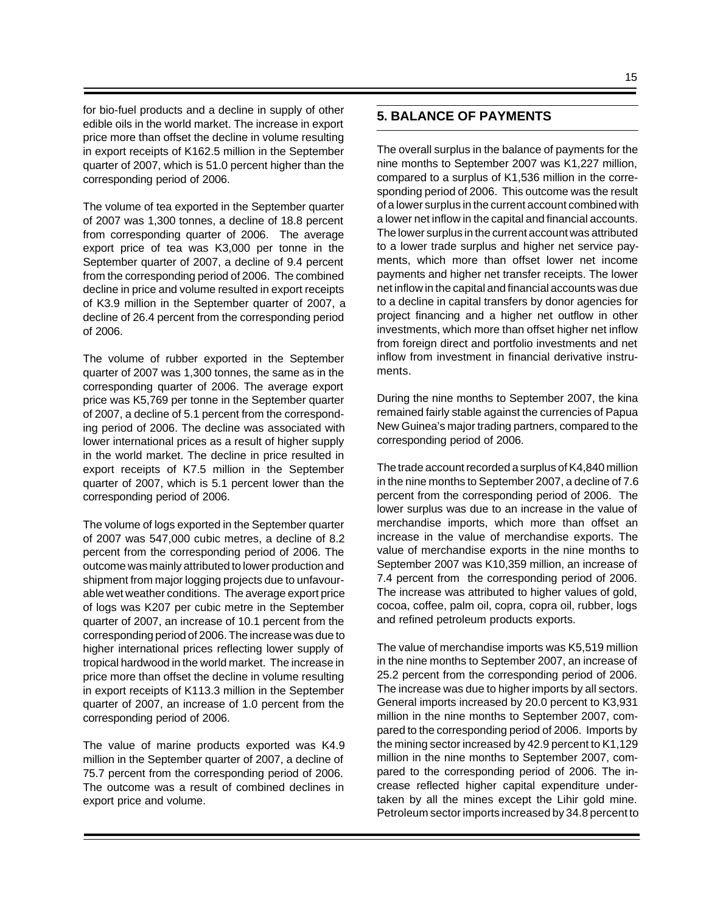for bio-fuel products and a decline in supply of other edible oils in the world market. The increase in export price more than offset the decline in volume resulting in export receipts of K162.5 million in the September quarter of 2007, which is 51.0 percent higher than the corresponding period of 2006.

The volume of tea exported in the September quarter of 2007 was 1,300 tonnes, a decline of 18.8 percent from corresponding quarter of 2006. The average export price of tea was K3,000 per tonne in the September quarter of 2007, a decline of 9.4 percent from the corresponding period of 2006. The combined decline in price and volume resulted in export receipts of K3.9 million in the September quarter of 2007, a decline of 26.4 percent from the corresponding period of 2006.

The volume of rubber exported in the September quarter of 2007 was 1,300 tonnes, the same as in the corresponding quarter of 2006. The average export price was K5,769 per tonne in the September quarter of 2007, a decline of 5.1 percent from the corresponding period of 2006. The decline was associated with lower international prices as a result of higher supply in the world market. The decline in price resulted in export receipts of K7.5 million in the September quarter of 2007, which is 5.1 percent lower than the corresponding period of 2006.

The volume of logs exported in the September quarter of 2007 was 547,000 cubic metres, a decline of 8.2 percent from the corresponding period of 2006. The outcome was mainly attributed to lower production and shipment from major logging projects due to unfavourable wet weather conditions. The average export price of logs was K207 per cubic metre in the September quarter of 2007, an increase of 10.1 percent from the corresponding period of 2006. The increase was due to higher international prices reflecting lower supply of tropical hardwood in the world market. The increase in price more than offset the decline in volume resulting in export receipts of K113.3 million in the September quarter of 2007, an increase of 1.0 percent from the corresponding period of 2006.

The value of marine products exported was K4.9 million in the September quarter of 2007, a decline of 75.7 percent from the corresponding period of 2006. The outcome was a result of combined declines in export price and volume.

# **5. BALANCE OF PAYMENTS**

The overall surplus in the balance of payments for the nine months to September 2007 was K1,227 million, compared to a surplus of K1,536 million in the corresponding period of 2006. This outcome was the result of a lower surplus in the current account combined with a lower net inflow in the capital and financial accounts. The lower surplus in the current account was attributed to a lower trade surplus and higher net service payments, which more than offset lower net income payments and higher net transfer receipts. The lower net inflow in the capital and financial accounts was due to a decline in capital transfers by donor agencies for project financing and a higher net outflow in other investments, which more than offset higher net inflow from foreign direct and portfolio investments and net inflow from investment in financial derivative instruments.

During the nine months to September 2007, the kina remained fairly stable against the currencies of Papua New Guinea's major trading partners, compared to the corresponding period of 2006.

The trade account recorded a surplus of K4,840 million in the nine months to September 2007, a decline of 7.6 percent from the corresponding period of 2006. The lower surplus was due to an increase in the value of merchandise imports, which more than offset an increase in the value of merchandise exports. The value of merchandise exports in the nine months to September 2007 was K10,359 million, an increase of 7.4 percent from the corresponding period of 2006. The increase was attributed to higher values of gold, cocoa, coffee, palm oil, copra, copra oil, rubber, logs and refined petroleum products exports.

The value of merchandise imports was K5,519 million in the nine months to September 2007, an increase of 25.2 percent from the corresponding period of 2006. The increase was due to higher imports by all sectors. General imports increased by 20.0 percent to K3,931 million in the nine months to September 2007, compared to the corresponding period of 2006. Imports by the mining sector increased by 42.9 percent to K1,129 million in the nine months to September 2007, compared to the corresponding period of 2006. The increase reflected higher capital expenditure undertaken by all the mines except the Lihir gold mine. Petroleum sector imports increased by 34.8 percent to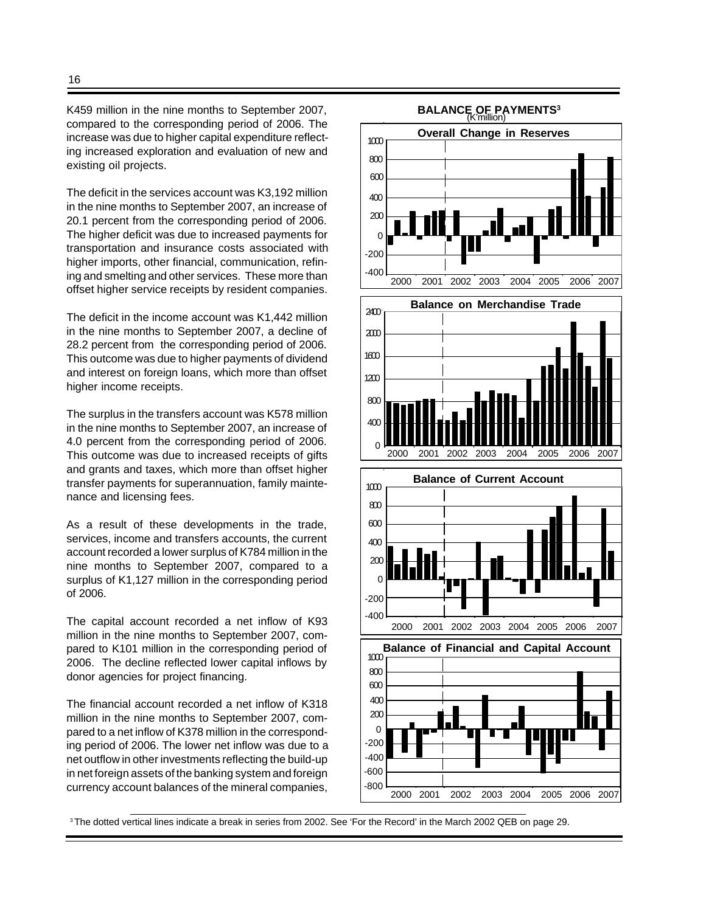K459 million in the nine months to September 2007, compared to the corresponding period of 2006. The increase was due to higher capital expenditure reflecting increased exploration and evaluation of new and existing oil projects.

The deficit in the services account was K3,192 million in the nine months to September 2007, an increase of 20.1 percent from the corresponding period of 2006. The higher deficit was due to increased payments for transportation and insurance costs associated with higher imports, other financial, communication, refining and smelting and other services. These more than offset higher service receipts by resident companies.

The deficit in the income account was K1,442 million in the nine months to September 2007, a decline of 28.2 percent from the corresponding period of 2006. This outcome was due to higher payments of dividend and interest on foreign loans, which more than offset higher income receipts.

The surplus in the transfers account was K578 million in the nine months to September 2007, an increase of 4.0 percent from the corresponding period of 2006. This outcome was due to increased receipts of gifts and grants and taxes, which more than offset higher transfer payments for superannuation, family maintenance and licensing fees.

As a result of these developments in the trade, services, income and transfers accounts, the current account recorded a lower surplus of K784 million in the nine months to September 2007, compared to a surplus of K1,127 million in the corresponding period of 2006.

The capital account recorded a net inflow of K93 million in the nine months to September 2007, compared to K101 million in the corresponding period of 2006. The decline reflected lower capital inflows by donor agencies for project financing.

The financial account recorded a net inflow of K318 million in the nine months to September 2007, compared to a net inflow of K378 million in the corresponding period of 2006. The lower net inflow was due to a net outflow in other investments reflecting the build-up in net foreign assets of the banking system and foreign currency account balances of the mineral companies,



<sup>3</sup>The dotted vertical lines indicate a break in series from 2002. See 'For the Record' in the March 2002 QEB on page 29.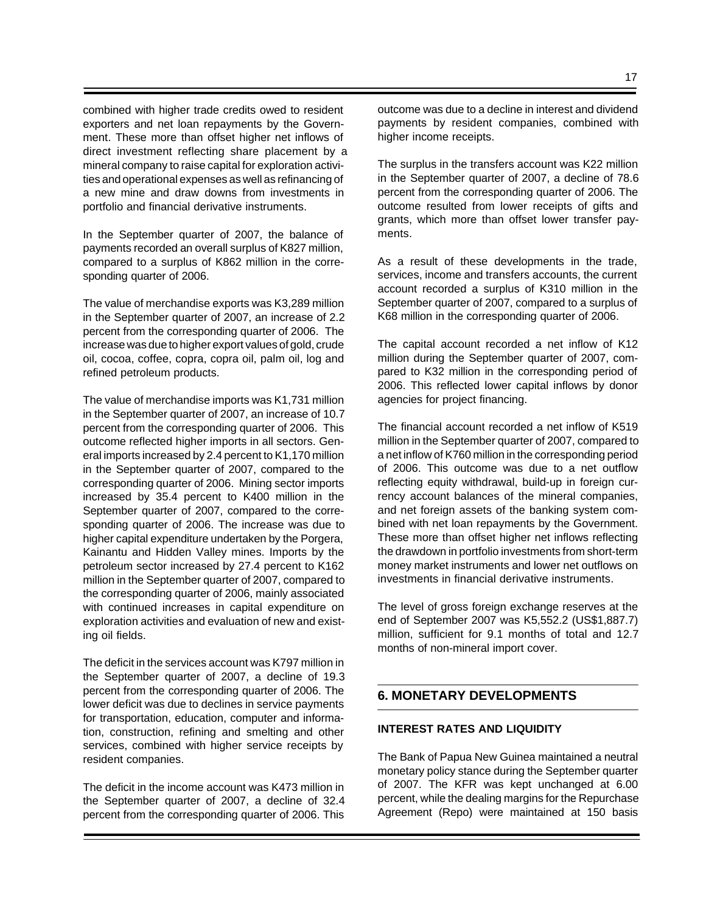combined with higher trade credits owed to resident exporters and net loan repayments by the Government. These more than offset higher net inflows of direct investment reflecting share placement by a mineral company to raise capital for exploration activities and operational expenses as well as refinancing of a new mine and draw downs from investments in portfolio and financial derivative instruments.

In the September quarter of 2007, the balance of payments recorded an overall surplus of K827 million, compared to a surplus of K862 million in the corresponding quarter of 2006.

The value of merchandise exports was K3,289 million in the September quarter of 2007, an increase of 2.2 percent from the corresponding quarter of 2006. The increase was due to higher export values of gold, crude oil, cocoa, coffee, copra, copra oil, palm oil, log and refined petroleum products.

The value of merchandise imports was K1,731 million in the September quarter of 2007, an increase of 10.7 percent from the corresponding quarter of 2006. This outcome reflected higher imports in all sectors. General imports increased by 2.4 percent to K1,170 million in the September quarter of 2007, compared to the corresponding quarter of 2006. Mining sector imports increased by 35.4 percent to K400 million in the September quarter of 2007, compared to the corresponding quarter of 2006. The increase was due to higher capital expenditure undertaken by the Porgera, Kainantu and Hidden Valley mines. Imports by the petroleum sector increased by 27.4 percent to K162 million in the September quarter of 2007, compared to the corresponding quarter of 2006, mainly associated with continued increases in capital expenditure on exploration activities and evaluation of new and existing oil fields.

The deficit in the services account was K797 million in the September quarter of 2007, a decline of 19.3 percent from the corresponding quarter of 2006. The lower deficit was due to declines in service payments for transportation, education, computer and information, construction, refining and smelting and other services, combined with higher service receipts by resident companies.

The deficit in the income account was K473 million in the September quarter of 2007, a decline of 32.4 percent from the corresponding quarter of 2006. This

outcome was due to a decline in interest and dividend payments by resident companies, combined with higher income receipts.

The surplus in the transfers account was K22 million in the September quarter of 2007, a decline of 78.6 percent from the corresponding quarter of 2006. The outcome resulted from lower receipts of gifts and grants, which more than offset lower transfer payments.

As a result of these developments in the trade, services, income and transfers accounts, the current account recorded a surplus of K310 million in the September quarter of 2007, compared to a surplus of K68 million in the corresponding quarter of 2006.

The capital account recorded a net inflow of K12 million during the September quarter of 2007, compared to K32 million in the corresponding period of 2006. This reflected lower capital inflows by donor agencies for project financing.

The financial account recorded a net inflow of K519 million in the September quarter of 2007, compared to a net inflow of K760 million in the corresponding period of 2006. This outcome was due to a net outflow reflecting equity withdrawal, build-up in foreign currency account balances of the mineral companies, and net foreign assets of the banking system combined with net loan repayments by the Government. These more than offset higher net inflows reflecting the drawdown in portfolio investments from short-term money market instruments and lower net outflows on investments in financial derivative instruments.

The level of gross foreign exchange reserves at the end of September 2007 was K5,552.2 (US\$1,887.7) million, sufficient for 9.1 months of total and 12.7 months of non-mineral import cover.

# **6. MONETARY DEVELOPMENTS**

# **INTEREST RATES AND LIQUIDITY**

The Bank of Papua New Guinea maintained a neutral monetary policy stance during the September quarter of 2007. The KFR was kept unchanged at 6.00 percent, while the dealing margins for the Repurchase Agreement (Repo) were maintained at 150 basis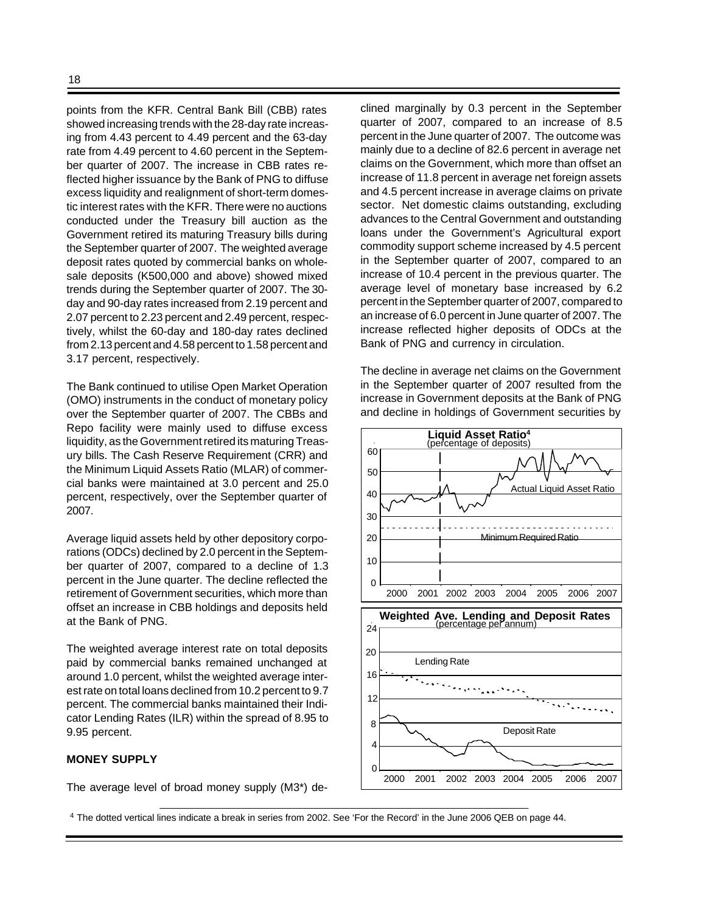points from the KFR. Central Bank Bill (CBB) rates showed increasing trends with the 28-day rate increasing from 4.43 percent to 4.49 percent and the 63-day rate from 4.49 percent to 4.60 percent in the September quarter of 2007. The increase in CBB rates reflected higher issuance by the Bank of PNG to diffuse excess liquidity and realignment of short-term domestic interest rates with the KFR. There were no auctions conducted under the Treasury bill auction as the Government retired its maturing Treasury bills during the September quarter of 2007. The weighted average deposit rates quoted by commercial banks on wholesale deposits (K500,000 and above) showed mixed trends during the September quarter of 2007. The 30 day and 90-day rates increased from 2.19 percent and 2.07 percent to 2.23 percent and 2.49 percent, respectively, whilst the 60-day and 180-day rates declined from 2.13 percent and 4.58 percent to 1.58 percent and 3.17 percent, respectively.

The Bank continued to utilise Open Market Operation (OMO) instruments in the conduct of monetary policy over the September quarter of 2007. The CBBs and Repo facility were mainly used to diffuse excess liquidity, as the Government retired its maturing Treasury bills. The Cash Reserve Requirement (CRR) and the Minimum Liquid Assets Ratio (MLAR) of commercial banks were maintained at 3.0 percent and 25.0 percent, respectively, over the September quarter of 2007.

Average liquid assets held by other depository corporations (ODCs) declined by 2.0 percent in the September quarter of 2007, compared to a decline of 1.3 percent in the June quarter. The decline reflected the retirement of Government securities, which more than offset an increase in CBB holdings and deposits held at the Bank of PNG.

The weighted average interest rate on total deposits paid by commercial banks remained unchanged at around 1.0 percent, whilst the weighted average interest rate on total loans declined from 10.2 percent to 9.7 percent. The commercial banks maintained their Indicator Lending Rates (ILR) within the spread of 8.95 to 9.95 percent.

# **MONEY SUPPLY**

The average level of broad money supply (M3\*) de-

clined marginally by 0.3 percent in the September quarter of 2007, compared to an increase of 8.5 percent in the June quarter of 2007. The outcome was mainly due to a decline of 82.6 percent in average net claims on the Government, which more than offset an increase of 11.8 percent in average net foreign assets and 4.5 percent increase in average claims on private sector. Net domestic claims outstanding, excluding advances to the Central Government and outstanding loans under the Government's Agricultural export commodity support scheme increased by 4.5 percent in the September quarter of 2007, compared to an increase of 10.4 percent in the previous quarter. The average level of monetary base increased by 6.2 percent in the September quarter of 2007, compared to an increase of 6.0 percent in June quarter of 2007. The increase reflected higher deposits of ODCs at the Bank of PNG and currency in circulation.

The decline in average net claims on the Government in the September quarter of 2007 resulted from the increase in Government deposits at the Bank of PNG and decline in holdings of Government securities by



<sup>4</sup> The dotted vertical lines indicate a break in series from 2002. See 'For the Record' in the June 2006 QEB on page 44.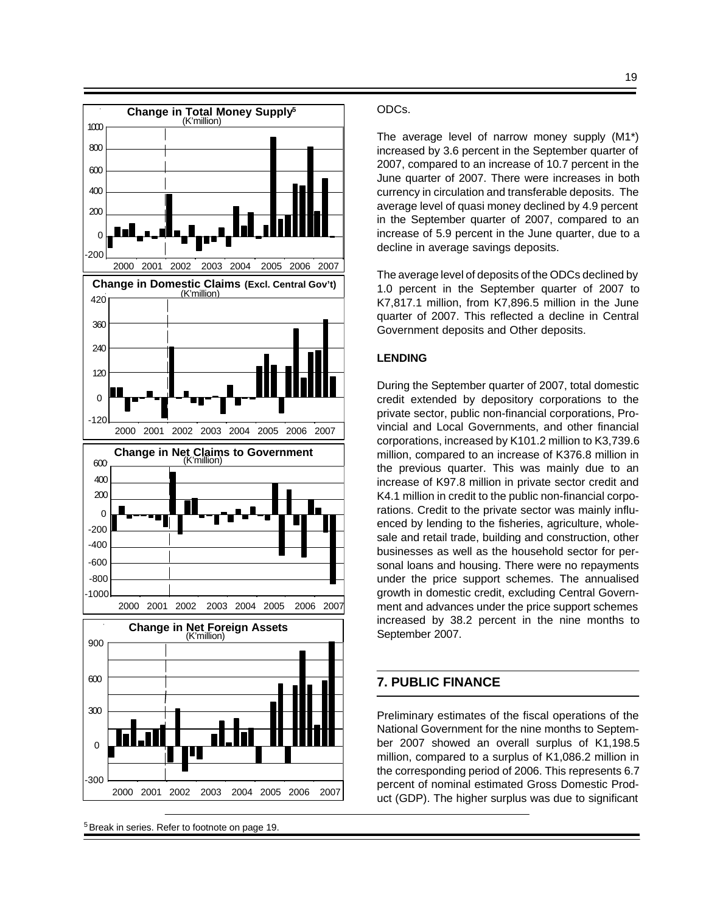

<sup>5</sup>Break in series. Refer to footnote on page 19.

#### ODCs.

The average level of narrow money supply (M1\*) increased by 3.6 percent in the September quarter of 2007, compared to an increase of 10.7 percent in the June quarter of 2007. There were increases in both currency in circulation and transferable deposits. The average level of quasi money declined by 4.9 percent in the September quarter of 2007, compared to an increase of 5.9 percent in the June quarter, due to a decline in average savings deposits.

The average level of deposits of the ODCs declined by 1.0 percent in the September quarter of 2007 to K7,817.1 million, from K7,896.5 million in the June quarter of 2007. This reflected a decline in Central Government deposits and Other deposits.

## **LENDING**

During the September quarter of 2007, total domestic credit extended by depository corporations to the private sector, public non-financial corporations, Provincial and Local Governments, and other financial corporations, increased by K101.2 million to K3,739.6 million, compared to an increase of K376.8 million in the previous quarter. This was mainly due to an increase of K97.8 million in private sector credit and K4.1 million in credit to the public non-financial corporations. Credit to the private sector was mainly influenced by lending to the fisheries, agriculture, wholesale and retail trade, building and construction, other businesses as well as the household sector for personal loans and housing. There were no repayments under the price support schemes. The annualised growth in domestic credit, excluding Central Government and advances under the price support schemes increased by 38.2 percent in the nine months to September 2007.

# **7. PUBLIC FINANCE**

Preliminary estimates of the fiscal operations of the National Government for the nine months to September 2007 showed an overall surplus of K1,198.5 million, compared to a surplus of K1,086.2 million in the corresponding period of 2006. This represents 6.7 percent of nominal estimated Gross Domestic Product (GDP). The higher surplus was due to significant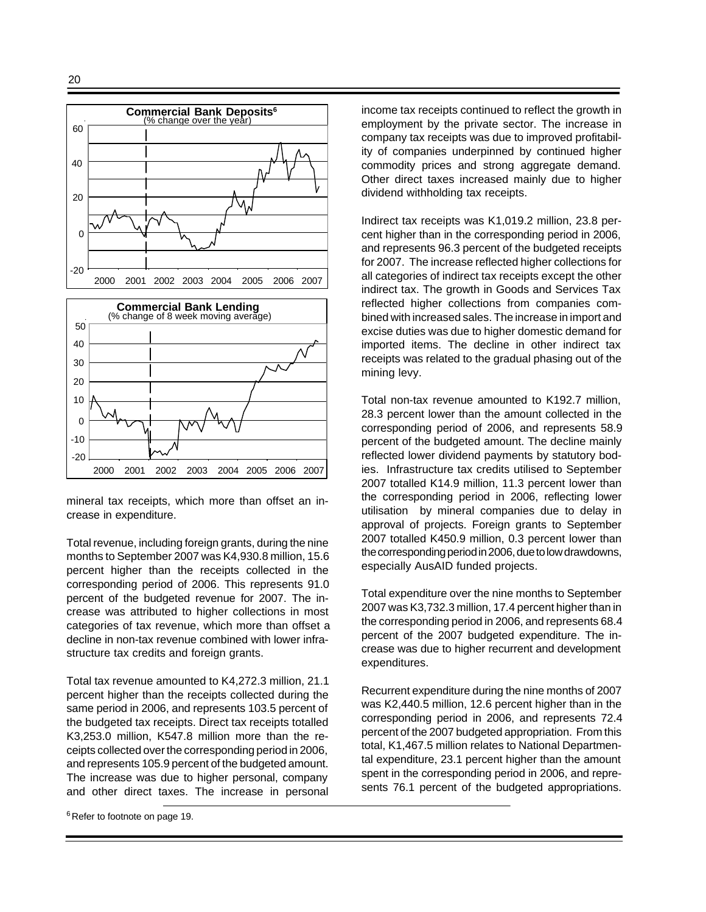

mineral tax receipts, which more than offset an increase in expenditure.

Total revenue, including foreign grants, during the nine months to September 2007 was K4,930.8 million, 15.6 percent higher than the receipts collected in the corresponding period of 2006. This represents 91.0 percent of the budgeted revenue for 2007. The increase was attributed to higher collections in most categories of tax revenue, which more than offset a decline in non-tax revenue combined with lower infrastructure tax credits and foreign grants.

Total tax revenue amounted to K4,272.3 million, 21.1 percent higher than the receipts collected during the same period in 2006, and represents 103.5 percent of the budgeted tax receipts. Direct tax receipts totalled K3,253.0 million, K547.8 million more than the receipts collected over the corresponding period in 2006, and represents 105.9 percent of the budgeted amount. The increase was due to higher personal, company and other direct taxes. The increase in personal

<sup>6</sup> Refer to footnote on page 19.

income tax receipts continued to reflect the growth in employment by the private sector. The increase in company tax receipts was due to improved profitability of companies underpinned by continued higher commodity prices and strong aggregate demand. Other direct taxes increased mainly due to higher dividend withholding tax receipts.

Indirect tax receipts was K1,019.2 million, 23.8 percent higher than in the corresponding period in 2006, and represents 96.3 percent of the budgeted receipts for 2007. The increase reflected higher collections for all categories of indirect tax receipts except the other indirect tax. The growth in Goods and Services Tax reflected higher collections from companies combined with increased sales. The increase in import and excise duties was due to higher domestic demand for imported items. The decline in other indirect tax receipts was related to the gradual phasing out of the mining levy.

Total non-tax revenue amounted to K192.7 million, 28.3 percent lower than the amount collected in the corresponding period of 2006, and represents 58.9 percent of the budgeted amount. The decline mainly reflected lower dividend payments by statutory bodies. Infrastructure tax credits utilised to September 2007 totalled K14.9 million, 11.3 percent lower than the corresponding period in 2006, reflecting lower utilisation by mineral companies due to delay in approval of projects. Foreign grants to September 2007 totalled K450.9 million, 0.3 percent lower than the corresponding period in 2006, due to low drawdowns, especially AusAID funded projects.

Total expenditure over the nine months to September 2007 was K3,732.3 million, 17.4 percent higher than in the corresponding period in 2006, and represents 68.4 percent of the 2007 budgeted expenditure. The increase was due to higher recurrent and development expenditures.

Recurrent expenditure during the nine months of 2007 was K2,440.5 million, 12.6 percent higher than in the corresponding period in 2006, and represents 72.4 percent of the 2007 budgeted appropriation. From this total, K1,467.5 million relates to National Departmental expenditure, 23.1 percent higher than the amount spent in the corresponding period in 2006, and represents 76.1 percent of the budgeted appropriations.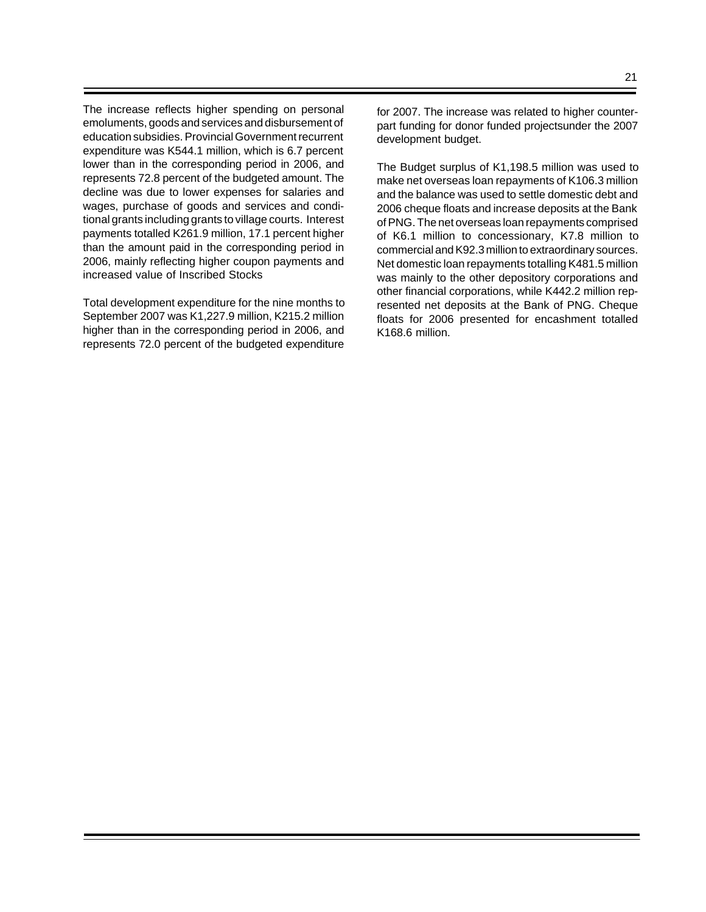The increase reflects higher spending on personal emoluments, goods and services and disbursement of education subsidies. Provincial Government recurrent expenditure was K544.1 million, which is 6.7 percent lower than in the corresponding period in 2006, and represents 72.8 percent of the budgeted amount. The decline was due to lower expenses for salaries and wages, purchase of goods and services and conditional grants including grants to village courts. Interest payments totalled K261.9 million, 17.1 percent higher than the amount paid in the corresponding period in 2006, mainly reflecting higher coupon payments and increased value of Inscribed Stocks

Total development expenditure for the nine months to September 2007 was K1,227.9 million, K215.2 million higher than in the corresponding period in 2006, and represents 72.0 percent of the budgeted expenditure The Budget surplus of K1,198.5 million was used to make net overseas loan repayments of K106.3 million and the balance was used to settle domestic debt and 2006 cheque floats and increase deposits at the Bank of PNG. The net overseas loan repayments comprised of K6.1 million to concessionary, K7.8 million to commercial and K92.3 million to extraordinary sources. Net domestic loan repayments totalling K481.5 million was mainly to the other depository corporations and other financial corporations, while K442.2 million represented net deposits at the Bank of PNG. Cheque floats for 2006 presented for encashment totalled K168.6 million.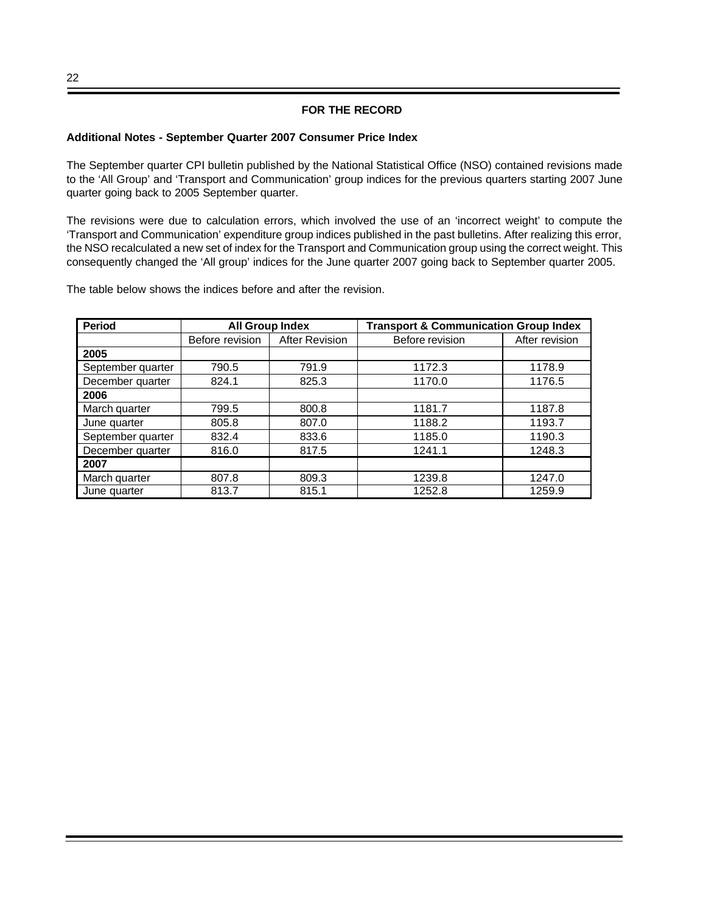# **FOR THE RECORD**

#### **Additional Notes - September Quarter 2007 Consumer Price Index**

The September quarter CPI bulletin published by the National Statistical Office (NSO) contained revisions made to the 'All Group' and 'Transport and Communication' group indices for the previous quarters starting 2007 June quarter going back to 2005 September quarter.

The revisions were due to calculation errors, which involved the use of an 'incorrect weight' to compute the 'Transport and Communication' expenditure group indices published in the past bulletins. After realizing this error, the NSO recalculated a new set of index for the Transport and Communication group using the correct weight. This consequently changed the 'All group' indices for the June quarter 2007 going back to September quarter 2005.

The table below shows the indices before and after the revision.

| <b>Period</b>     | <b>All Group Index</b> |                       | <b>Transport &amp; Communication Group Index</b> |                |
|-------------------|------------------------|-----------------------|--------------------------------------------------|----------------|
|                   | Before revision        | <b>After Revision</b> | Before revision                                  | After revision |
| 2005              |                        |                       |                                                  |                |
| September quarter | 790.5                  | 791.9                 | 1172.3                                           | 1178.9         |
| December quarter  | 824.1                  | 825.3                 | 1170.0                                           | 1176.5         |
| 2006              |                        |                       |                                                  |                |
| March quarter     | 799.5                  | 800.8                 | 1181.7                                           | 1187.8         |
| June quarter      | 805.8                  | 807.0                 | 1188.2                                           | 1193.7         |
| September quarter | 832.4                  | 833.6                 | 1185.0                                           | 1190.3         |
| December quarter  | 816.0                  | 817.5                 | 1241.1                                           | 1248.3         |
| 2007              |                        |                       |                                                  |                |
| March quarter     | 807.8                  | 809.3                 | 1239.8                                           | 1247.0         |
| June quarter      | 813.7                  | 815.1                 | 1252.8                                           | 1259.9         |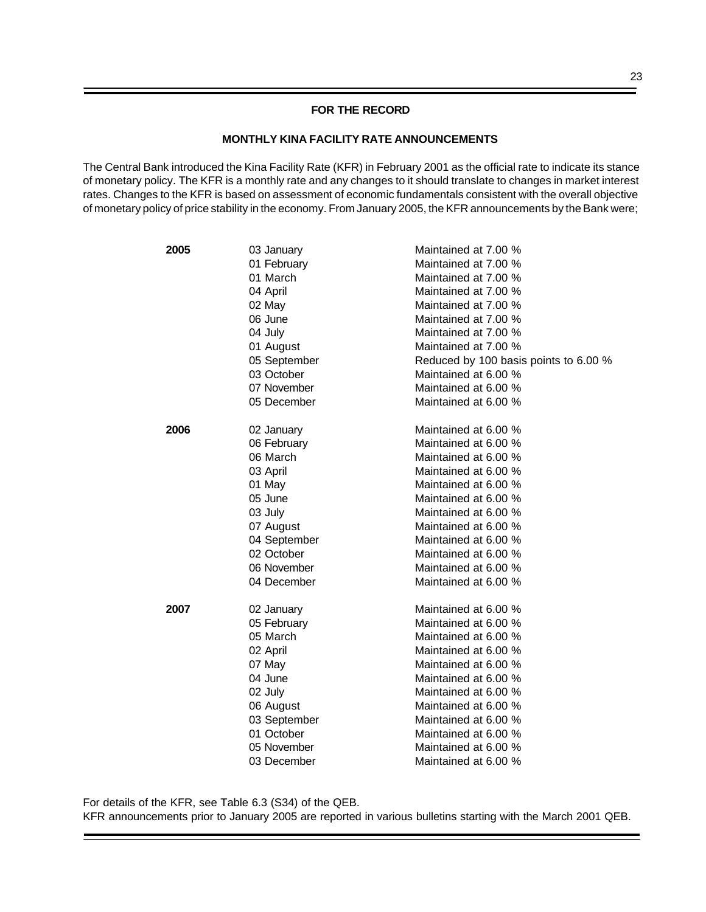## **FOR THE RECORD**

## **MONTHLY KINA FACILITY RATE ANNOUNCEMENTS**

The Central Bank introduced the Kina Facility Rate (KFR) in February 2001 as the official rate to indicate its stance of monetary policy. The KFR is a monthly rate and any changes to it should translate to changes in market interest rates. Changes to the KFR is based on assessment of economic fundamentals consistent with the overall objective of monetary policy of price stability in the economy. From January 2005, the KFR announcements by the Bank were;

| 2005 | 03 January   | Maintained at 7.00 %                  |
|------|--------------|---------------------------------------|
|      | 01 February  | Maintained at 7.00 %                  |
|      | 01 March     | Maintained at 7.00 %                  |
|      | 04 April     | Maintained at 7.00 %                  |
|      | 02 May       | Maintained at 7.00 %                  |
|      | 06 June      | Maintained at 7.00 %                  |
|      | 04 July      | Maintained at 7.00 %                  |
|      | 01 August    | Maintained at 7.00 %                  |
|      | 05 September | Reduced by 100 basis points to 6.00 % |
|      | 03 October   | Maintained at 6.00 %                  |
|      | 07 November  | Maintained at 6.00 %                  |
|      | 05 December  | Maintained at 6.00 %                  |
| 2006 | 02 January   | Maintained at 6.00 %                  |
|      | 06 February  | Maintained at 6.00 %                  |
|      | 06 March     | Maintained at 6.00 %                  |
|      | 03 April     | Maintained at 6.00 %                  |
|      | 01 May       | Maintained at 6.00 %                  |
|      | 05 June      | Maintained at 6.00 %                  |
|      | 03 July      | Maintained at 6.00 %                  |
|      | 07 August    | Maintained at 6.00 %                  |
|      | 04 September | Maintained at 6.00 %                  |
|      | 02 October   | Maintained at 6.00 %                  |
|      | 06 November  | Maintained at 6.00 %                  |
|      | 04 December  | Maintained at 6.00 %                  |
| 2007 | 02 January   | Maintained at 6.00 %                  |
|      | 05 February  | Maintained at 6.00 %                  |
|      | 05 March     | Maintained at 6.00 %                  |
|      | 02 April     | Maintained at 6.00 %                  |
|      | 07 May       | Maintained at 6.00 %                  |
|      | 04 June      | Maintained at 6.00 %                  |
|      | 02 July      | Maintained at 6.00 %                  |
|      | 06 August    | Maintained at 6.00 %                  |
|      | 03 September | Maintained at 6.00 %                  |
|      | 01 October   | Maintained at 6.00 %                  |
|      | 05 November  | Maintained at 6.00 %                  |
|      | 03 December  | Maintained at 6.00 %                  |

For details of the KFR, see Table 6.3 (S34) of the QEB. KFR announcements prior to January 2005 are reported in various bulletins starting with the March 2001 QEB.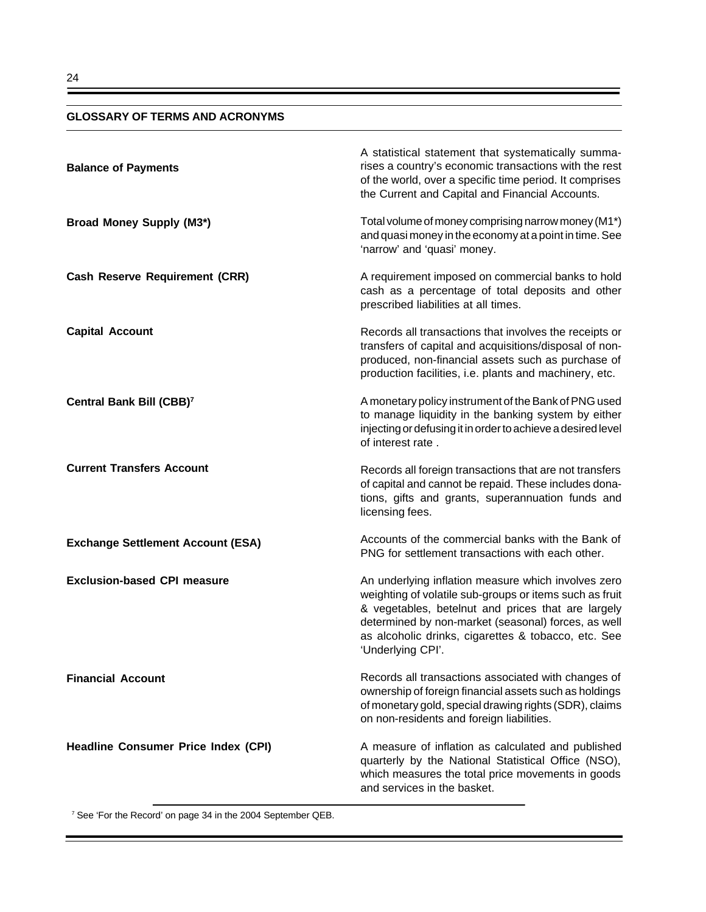## **GLOSSARY OF TERMS AND ACRONYMS**

| <b>Balance of Payments</b>                 | A statistical statement that systematically summa-<br>rises a country's economic transactions with the rest<br>of the world, over a specific time period. It comprises<br>the Current and Capital and Financial Accounts.                                                                               |
|--------------------------------------------|---------------------------------------------------------------------------------------------------------------------------------------------------------------------------------------------------------------------------------------------------------------------------------------------------------|
| <b>Broad Money Supply (M3*)</b>            | Total volume of money comprising narrow money (M1*)<br>and quasi money in the economy at a point in time. See<br>'narrow' and 'quasi' money.                                                                                                                                                            |
| <b>Cash Reserve Requirement (CRR)</b>      | A requirement imposed on commercial banks to hold<br>cash as a percentage of total deposits and other<br>prescribed liabilities at all times.                                                                                                                                                           |
| <b>Capital Account</b>                     | Records all transactions that involves the receipts or<br>transfers of capital and acquisitions/disposal of non-<br>produced, non-financial assets such as purchase of<br>production facilities, i.e. plants and machinery, etc.                                                                        |
| Central Bank Bill (CBB) <sup>7</sup>       | A monetary policy instrument of the Bank of PNG used<br>to manage liquidity in the banking system by either<br>injecting or defusing it in order to achieve a desired level<br>of interest rate.                                                                                                        |
| <b>Current Transfers Account</b>           | Records all foreign transactions that are not transfers<br>of capital and cannot be repaid. These includes dona-<br>tions, gifts and grants, superannuation funds and<br>licensing fees.                                                                                                                |
| <b>Exchange Settlement Account (ESA)</b>   | Accounts of the commercial banks with the Bank of<br>PNG for settlement transactions with each other.                                                                                                                                                                                                   |
| <b>Exclusion-based CPI measure</b>         | An underlying inflation measure which involves zero<br>weighting of volatile sub-groups or items such as fruit<br>& vegetables, betelnut and prices that are largely<br>determined by non-market (seasonal) forces, as well<br>as alcoholic drinks, cigarettes & tobacco, etc. See<br>'Underlying CPI'. |
| <b>Financial Account</b>                   | Records all transactions associated with changes of<br>ownership of foreign financial assets such as holdings<br>of monetary gold, special drawing rights (SDR), claims<br>on non-residents and foreign liabilities.                                                                                    |
| <b>Headline Consumer Price Index (CPI)</b> | A measure of inflation as calculated and published<br>quarterly by the National Statistical Office (NSO),<br>which measures the total price movements in goods<br>and services in the basket.                                                                                                           |

<sup>7</sup> See 'For the Record' on page 34 in the 2004 September QEB.

Ξ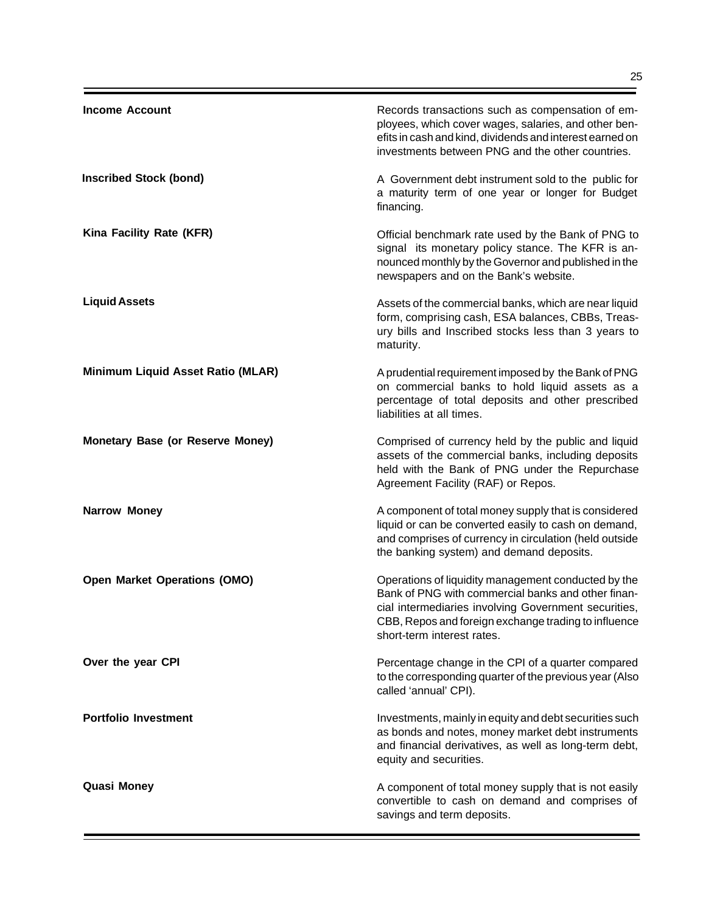| <b>Income Account</b>                   | Records transactions such as compensation of em-<br>ployees, which cover wages, salaries, and other ben-<br>efits in cash and kind, dividends and interest earned on<br>investments between PNG and the other countries.                                |
|-----------------------------------------|---------------------------------------------------------------------------------------------------------------------------------------------------------------------------------------------------------------------------------------------------------|
| <b>Inscribed Stock (bond)</b>           | A Government debt instrument sold to the public for<br>a maturity term of one year or longer for Budget<br>financing.                                                                                                                                   |
| Kina Facility Rate (KFR)                | Official benchmark rate used by the Bank of PNG to<br>signal its monetary policy stance. The KFR is an-<br>nounced monthly by the Governor and published in the<br>newspapers and on the Bank's website.                                                |
| <b>Liquid Assets</b>                    | Assets of the commercial banks, which are near liquid<br>form, comprising cash, ESA balances, CBBs, Treas-<br>ury bills and Inscribed stocks less than 3 years to<br>maturity.                                                                          |
| Minimum Liquid Asset Ratio (MLAR)       | A prudential requirement imposed by the Bank of PNG<br>on commercial banks to hold liquid assets as a<br>percentage of total deposits and other prescribed<br>liabilities at all times.                                                                 |
| <b>Monetary Base (or Reserve Money)</b> | Comprised of currency held by the public and liquid<br>assets of the commercial banks, including deposits<br>held with the Bank of PNG under the Repurchase<br>Agreement Facility (RAF) or Repos.                                                       |
| <b>Narrow Money</b>                     | A component of total money supply that is considered<br>liquid or can be converted easily to cash on demand,<br>and comprises of currency in circulation (held outside<br>the banking system) and demand deposits.                                      |
| <b>Open Market Operations (OMO)</b>     | Operations of liquidity management conducted by the<br>Bank of PNG with commercial banks and other finan-<br>cial intermediaries involving Government securities,<br>CBB, Repos and foreign exchange trading to influence<br>short-term interest rates. |
| Over the year CPI                       | Percentage change in the CPI of a quarter compared<br>to the corresponding quarter of the previous year (Also<br>called 'annual' CPI).                                                                                                                  |
| <b>Portfolio Investment</b>             | Investments, mainly in equity and debt securities such<br>as bonds and notes, money market debt instruments<br>and financial derivatives, as well as long-term debt,<br>equity and securities.                                                          |
| <b>Quasi Money</b>                      | A component of total money supply that is not easily<br>convertible to cash on demand and comprises of<br>savings and term deposits.                                                                                                                    |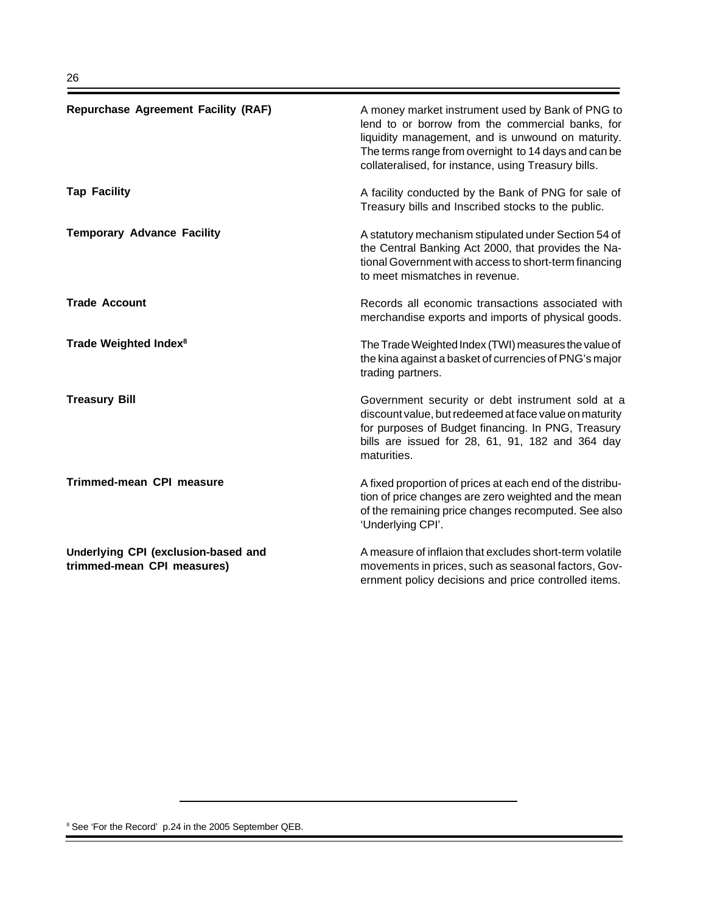| <b>Repurchase Agreement Facility (RAF)</b>                        | A money market instrument used by Bank of PNG to<br>lend to or borrow from the commercial banks, for<br>liquidity management, and is unwound on maturity.<br>The terms range from overnight to 14 days and can be<br>collateralised, for instance, using Treasury bills. |
|-------------------------------------------------------------------|--------------------------------------------------------------------------------------------------------------------------------------------------------------------------------------------------------------------------------------------------------------------------|
| <b>Tap Facility</b>                                               | A facility conducted by the Bank of PNG for sale of<br>Treasury bills and Inscribed stocks to the public.                                                                                                                                                                |
| <b>Temporary Advance Facility</b>                                 | A statutory mechanism stipulated under Section 54 of<br>the Central Banking Act 2000, that provides the Na-<br>tional Government with access to short-term financing<br>to meet mismatches in revenue.                                                                   |
| <b>Trade Account</b>                                              | Records all economic transactions associated with<br>merchandise exports and imports of physical goods.                                                                                                                                                                  |
| Trade Weighted Index <sup>8</sup>                                 | The Trade Weighted Index (TWI) measures the value of<br>the kina against a basket of currencies of PNG's major<br>trading partners.                                                                                                                                      |
| <b>Treasury Bill</b>                                              | Government security or debt instrument sold at a<br>discount value, but redeemed at face value on maturity<br>for purposes of Budget financing. In PNG, Treasury<br>bills are issued for 28, 61, 91, 182 and 364 day<br>maturities.                                      |
| <b>Trimmed-mean CPI measure</b>                                   | A fixed proportion of prices at each end of the distribu-<br>tion of price changes are zero weighted and the mean<br>of the remaining price changes recomputed. See also<br>'Underlying CPI'.                                                                            |
| Underlying CPI (exclusion-based and<br>trimmed-mean CPI measures) | A measure of inflaion that excludes short-term volatile<br>movements in prices, such as seasonal factors, Gov-<br>ernment policy decisions and price controlled items.                                                                                                   |

<sup>8</sup> See 'For the Record' p.24 in the 2005 September QEB.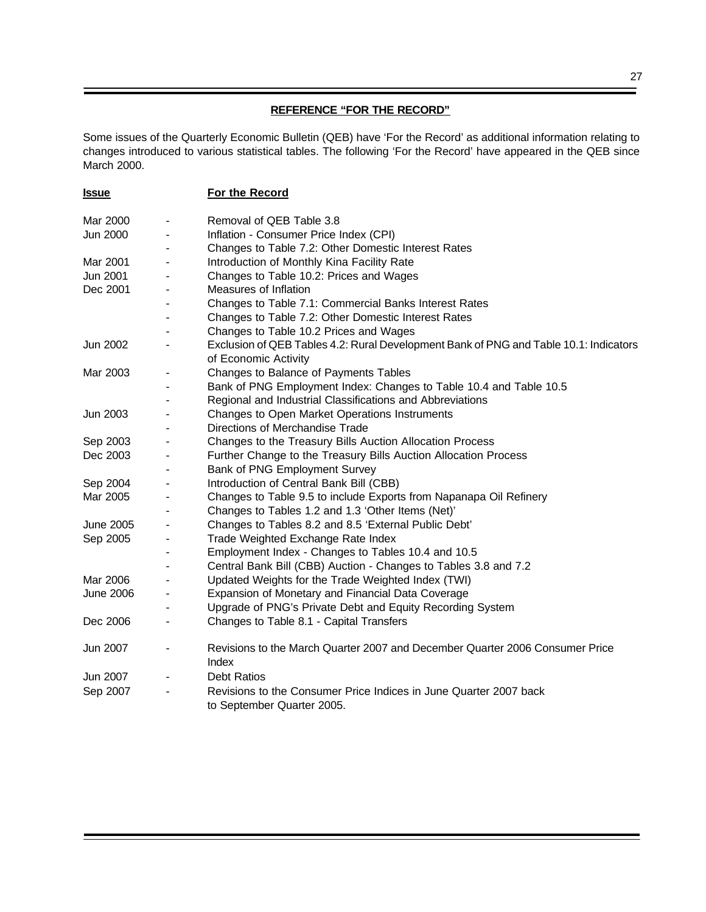# **REFERENCE "FOR THE RECORD"**

Some issues of the Quarterly Economic Bulletin (QEB) have 'For the Record' as additional information relating to changes introduced to various statistical tables. The following 'For the Record' have appeared in the QEB since March 2000.

| <b>Issue</b>     | For the Record                                                                                  |
|------------------|-------------------------------------------------------------------------------------------------|
| Mar 2000         | Removal of QEB Table 3.8                                                                        |
| Jun 2000         | Inflation - Consumer Price Index (CPI)                                                          |
|                  | Changes to Table 7.2: Other Domestic Interest Rates                                             |
| Mar 2001         | Introduction of Monthly Kina Facility Rate                                                      |
| Jun 2001         | Changes to Table 10.2: Prices and Wages                                                         |
| Dec 2001         | Measures of Inflation                                                                           |
|                  | Changes to Table 7.1: Commercial Banks Interest Rates                                           |
|                  | Changes to Table 7.2: Other Domestic Interest Rates                                             |
|                  | Changes to Table 10.2 Prices and Wages                                                          |
| Jun 2002         | Exclusion of QEB Tables 4.2: Rural Development Bank of PNG and Table 10.1: Indicators           |
|                  | of Economic Activity                                                                            |
| Mar 2003         | Changes to Balance of Payments Tables                                                           |
|                  | Bank of PNG Employment Index: Changes to Table 10.4 and Table 10.5                              |
|                  | Regional and Industrial Classifications and Abbreviations                                       |
| Jun 2003         | Changes to Open Market Operations Instruments                                                   |
|                  | Directions of Merchandise Trade                                                                 |
| Sep 2003         | Changes to the Treasury Bills Auction Allocation Process                                        |
| Dec 2003         | Further Change to the Treasury Bills Auction Allocation Process                                 |
|                  | Bank of PNG Employment Survey                                                                   |
| Sep 2004         | Introduction of Central Bank Bill (CBB)                                                         |
| Mar 2005         | Changes to Table 9.5 to include Exports from Napanapa Oil Refinery                              |
|                  | Changes to Tables 1.2 and 1.3 'Other Items (Net)'                                               |
| June 2005        | Changes to Tables 8.2 and 8.5 'External Public Debt'                                            |
| Sep 2005         | Trade Weighted Exchange Rate Index                                                              |
|                  | Employment Index - Changes to Tables 10.4 and 10.5                                              |
|                  | Central Bank Bill (CBB) Auction - Changes to Tables 3.8 and 7.2                                 |
| Mar 2006         | Updated Weights for the Trade Weighted Index (TWI)                                              |
| <b>June 2006</b> | Expansion of Monetary and Financial Data Coverage                                               |
|                  | Upgrade of PNG's Private Debt and Equity Recording System                                       |
| Dec 2006         | Changes to Table 8.1 - Capital Transfers                                                        |
| Jun 2007         | Revisions to the March Quarter 2007 and December Quarter 2006 Consumer Price<br>Index           |
| Jun 2007         | <b>Debt Ratios</b>                                                                              |
| Sep 2007         | Revisions to the Consumer Price Indices in June Quarter 2007 back<br>to September Quarter 2005. |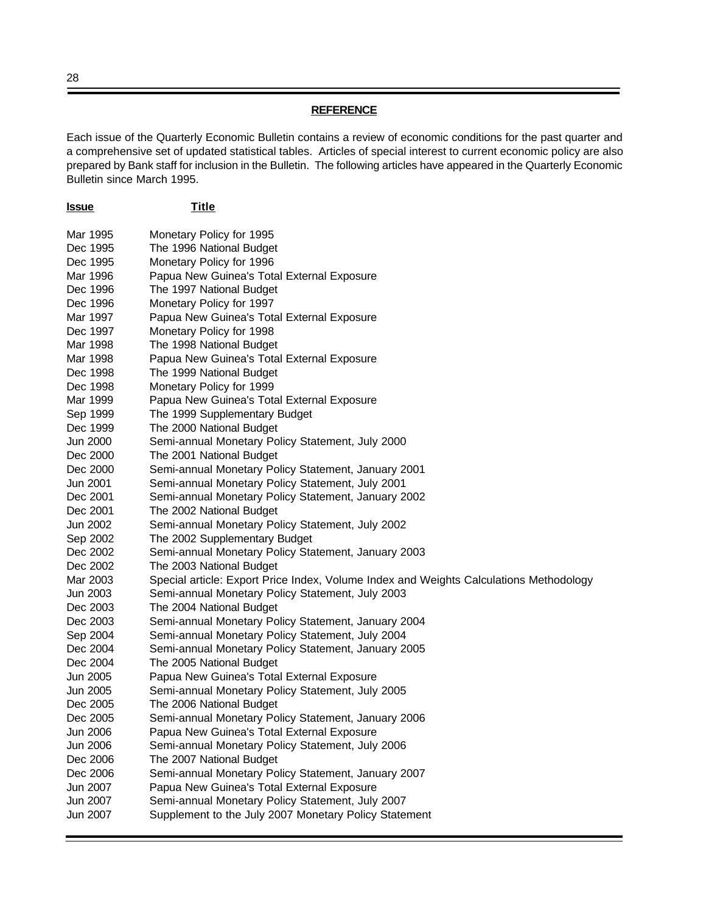# **REFERENCE**

Each issue of the Quarterly Economic Bulletin contains a review of economic conditions for the past quarter and a comprehensive set of updated statistical tables. Articles of special interest to current economic policy are also prepared by Bank staff for inclusion in the Bulletin. The following articles have appeared in the Quarterly Economic Bulletin since March 1995.

| <b>Issue</b>         | <b>Title</b>                                                                                      |
|----------------------|---------------------------------------------------------------------------------------------------|
| Mar 1995             | Monetary Policy for 1995                                                                          |
| Dec 1995             | The 1996 National Budget                                                                          |
| Dec 1995             | Monetary Policy for 1996                                                                          |
| Mar 1996             | Papua New Guinea's Total External Exposure                                                        |
| Dec 1996             | The 1997 National Budget                                                                          |
| Dec 1996             | Monetary Policy for 1997                                                                          |
| Mar 1997             | Papua New Guinea's Total External Exposure                                                        |
| Dec 1997             | Monetary Policy for 1998                                                                          |
| Mar 1998             | The 1998 National Budget                                                                          |
| Mar 1998             | Papua New Guinea's Total External Exposure                                                        |
| Dec 1998             | The 1999 National Budget                                                                          |
| Dec 1998             | Monetary Policy for 1999                                                                          |
| Mar 1999             | Papua New Guinea's Total External Exposure                                                        |
| Sep 1999             | The 1999 Supplementary Budget                                                                     |
| Dec 1999             | The 2000 National Budget                                                                          |
| Jun 2000             | Semi-annual Monetary Policy Statement, July 2000                                                  |
| Dec 2000             | The 2001 National Budget                                                                          |
| Dec 2000             | Semi-annual Monetary Policy Statement, January 2001                                               |
| Jun 2001             | Semi-annual Monetary Policy Statement, July 2001                                                  |
| Dec 2001             | Semi-annual Monetary Policy Statement, January 2002                                               |
| Dec 2001             | The 2002 National Budget                                                                          |
| Jun 2002             | Semi-annual Monetary Policy Statement, July 2002                                                  |
| Sep 2002             | The 2002 Supplementary Budget                                                                     |
| Dec 2002             | Semi-annual Monetary Policy Statement, January 2003                                               |
| Dec 2002             | The 2003 National Budget                                                                          |
| Mar 2003             | Special article: Export Price Index, Volume Index and Weights Calculations Methodology            |
| Jun 2003             | Semi-annual Monetary Policy Statement, July 2003                                                  |
| Dec 2003             | The 2004 National Budget                                                                          |
| Dec 2003             | Semi-annual Monetary Policy Statement, January 2004                                               |
| Sep 2004             | Semi-annual Monetary Policy Statement, July 2004                                                  |
| Dec 2004             | Semi-annual Monetary Policy Statement, January 2005                                               |
| Dec 2004             | The 2005 National Budget                                                                          |
| Jun 2005             | Papua New Guinea's Total External Exposure                                                        |
| Jun 2005             | Semi-annual Monetary Policy Statement, July 2005                                                  |
| Dec 2005             | The 2006 National Budget                                                                          |
| Dec 2005             | Semi-annual Monetary Policy Statement, January 2006                                               |
| Jun 2006             | Papua New Guinea's Total External Exposure                                                        |
| Jun 2006             | Semi-annual Monetary Policy Statement, July 2006                                                  |
| Dec 2006<br>Dec 2006 | The 2007 National Budget                                                                          |
| Jun 2007             | Semi-annual Monetary Policy Statement, January 2007<br>Papua New Guinea's Total External Exposure |
| Jun 2007             | Semi-annual Monetary Policy Statement, July 2007                                                  |
| Jun 2007             | Supplement to the July 2007 Monetary Policy Statement                                             |
|                      |                                                                                                   |